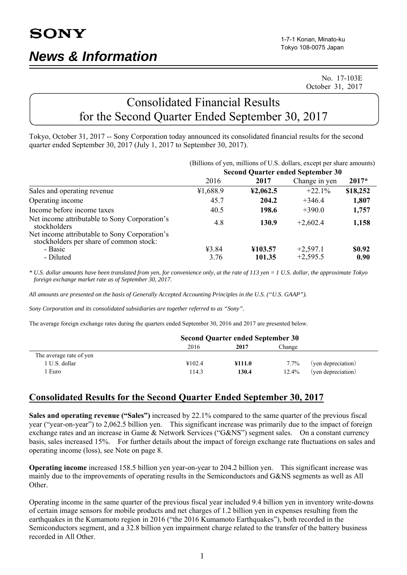No. 17-103E October 31, 2017

# Consolidated Financial Results for the Second Quarter Ended September 30, 2017

Tokyo, October 31, 2017 -- Sony Corporation today announced its consolidated financial results for the second quarter ended September 30, 2017 (July 1, 2017 to September 30, 2017).

|                                                                                          | (Billions of yen, millions of U.S. dollars, except per share amounts) |          |               |          |  |
|------------------------------------------------------------------------------------------|-----------------------------------------------------------------------|----------|---------------|----------|--|
|                                                                                          | <b>Second Quarter ended September 30</b>                              |          |               |          |  |
|                                                                                          | 2016                                                                  | 2017     | Change in yen | $2017*$  |  |
| Sales and operating revenue                                                              | ¥1,688.9                                                              | 42,062.5 | $+22.1%$      | \$18,252 |  |
| Operating income                                                                         | 45.7                                                                  | 204.2    | $+346.4$      | 1,807    |  |
| Income before income taxes                                                               | 40.5                                                                  | 198.6    | $+390.0$      | 1,757    |  |
| Net income attributable to Sony Corporation's<br>stockholders                            | 4.8                                                                   | 130.9    | $+2,602.4$    | 1,158    |  |
| Net income attributable to Sony Corporation's<br>stockholders per share of common stock: |                                                                       |          |               |          |  |
| - Basic                                                                                  | ¥3.84                                                                 | ¥103.57  | $+2,597.1$    | \$0.92   |  |
| - Diluted                                                                                | 3.76                                                                  | 101.35   | $+2,595.5$    | 0.90     |  |

*\* U.S. dollar amounts have been translated from yen, for convenience only, at the rate of 113 yen = 1 U.S. dollar, the approximate Tokyo foreign exchange market rate as of September 30, 2017.* 

*All amounts are presented on the basis of Generally Accepted Accounting Principles in the U.S. ("U.S. GAAP").* 

*Sony Corporation and its consolidated subsidiaries are together referred to as "Sony".* 

The average foreign exchange rates during the quarters ended September 30, 2016 and 2017 are presented below.

|                         | <b>Second Quarter ended September 30</b> |        |        |                    |
|-------------------------|------------------------------------------|--------|--------|--------------------|
|                         | 2016                                     | 2017   | Change |                    |
| The average rate of yen |                                          |        |        |                    |
| 1 U.S. dollar           | ¥102.4                                   | ¥111.0 | 7.7%   | (yen depreciation) |
| Euro                    | 14.3                                     | 130.4  | 12.4%  | (yen depreciation) |

## **Consolidated Results for the Second Quarter Ended September 30, 2017**

**Sales and operating revenue ("Sales")** increased by 22.1% compared to the same quarter of the previous fiscal year ("year-on-year") to 2,062.5 billion yen. This significant increase was primarily due to the impact of foreign exchange rates and an increase in Game & Network Services ("G&NS") segment sales. On a constant currency basis, sales increased 15%. For further details about the impact of foreign exchange rate fluctuations on sales and operating income (loss), see Note on page 8.

**Operating income** increased 158.5 billion yen year-on-year to 204.2 billion yen. This significant increase was mainly due to the improvements of operating results in the Semiconductors and G&NS segments as well as All Other.

Operating income in the same quarter of the previous fiscal year included 9.4 billion yen in inventory write-downs of certain image sensors for mobile products and net charges of 1.2 billion yen in expenses resulting from the earthquakes in the Kumamoto region in 2016 ("the 2016 Kumamoto Earthquakes"), both recorded in the Semiconductors segment, and a 32.8 billion yen impairment charge related to the transfer of the battery business recorded in All Other.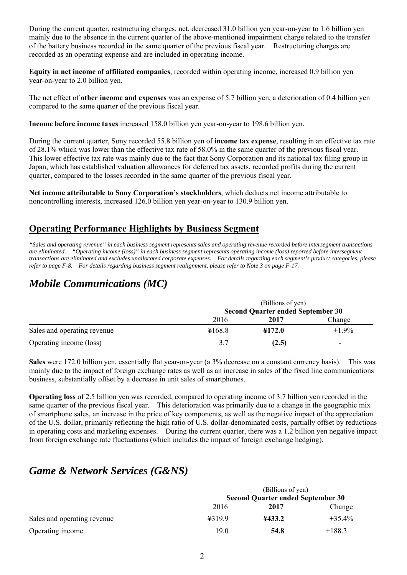During the current quarter, restructuring charges, net, decreased 31.0 billion yen year-on-year to 1.6 billion yen mainly due to the absence in the current quarter of the above-mentioned impairment charge related to the transfer of the battery business recorded in the same quarter of the previous fiscal year. Restructuring charges are recorded as an operating expense and are included in operating income.

**Equity in net income of affiliated companies**, recorded within operating income, increased 0.9 billion yen year-on-year to 2.0 billion yen.

The net effect of **other income and expenses** was an expense of 5.7 billion yen, a deterioration of 0.4 billion yen compared to the same quarter of the previous fiscal year.

**Income before income taxes** increased 158.0 billion yen year-on-year to 198.6 billion yen.

During the current quarter, Sony recorded 55.8 billion yen of **income tax expense**, resulting in an effective tax rate of 28.1% which was lower than the effective tax rate of 58.0% in the same quarter of the previous fiscal year. This lower effective tax rate was mainly due to the fact that Sony Corporation and its national tax filing group in Japan, which has established valuation allowances for deferred tax assets, recorded profits during the current quarter, compared to the losses recorded in the same quarter of the previous fiscal year.

**Net income attributable to Sony Corporation's stockholders**, which deducts net income attributable to noncontrolling interests, increased 126.0 billion yen year-on-year to 130.9 billion yen.

## **Operating Performance Highlights by Business Segment**

*"Sales and operating revenue" in each business segment represents sales and operating revenue recorded before intersegment transactions are eliminated. "Operating income (loss)" in each business segment represents operating income (loss) reported before intersegment transactions are eliminated and excludes unallocated corporate expenses. For details regarding each segment's product categories, please refer to page F-8. For details regarding business segment realignment, please refer to Note 3 on page F-17.*

# *Mobile Communications (MC)*

|                             | (Billions of yen)                        |        |         |  |  |
|-----------------------------|------------------------------------------|--------|---------|--|--|
|                             | <b>Second Quarter ended September 30</b> |        |         |  |  |
|                             | 2016                                     | 2017   | Change  |  |  |
| Sales and operating revenue | ¥168.8                                   | ¥172.0 | $+1.9%$ |  |  |
| Operating income (loss)     | 3.7                                      | (2.5)  |         |  |  |

**Sales** were 172.0 billion yen, essentially flat year-on-year (a 3% decrease on a constant currency basis). This was mainly due to the impact of foreign exchange rates as well as an increase in sales of the fixed line communications business, substantially offset by a decrease in unit sales of smartphones.

**Operating loss** of 2.5 billion yen was recorded, compared to operating income of 3.7 billion yen recorded in the same quarter of the previous fiscal year. This deterioration was primarily due to a change in the geographic mix of smartphone sales, an increase in the price of key components, as well as the negative impact of the appreciation of the U.S. dollar, primarily reflecting the high ratio of U.S. dollar-denominated costs, partially offset by reductions in operating costs and marketing expenses. During the current quarter, there was a 1.2 billion yen negative impact from foreign exchange rate fluctuations (which includes the impact of foreign exchange hedging).

# *Game & Network Services (G&NS)*

|                             | (Billions of yen)<br><b>Second Quarter ended September 30</b> |        |           |  |
|-----------------------------|---------------------------------------------------------------|--------|-----------|--|
|                             | 2016                                                          | 2017   | Change    |  |
| Sales and operating revenue | 4319.9                                                        | ¥433.2 | $+35.4\%$ |  |
| Operating income            | 19.0                                                          | 54.8   | $+188.3$  |  |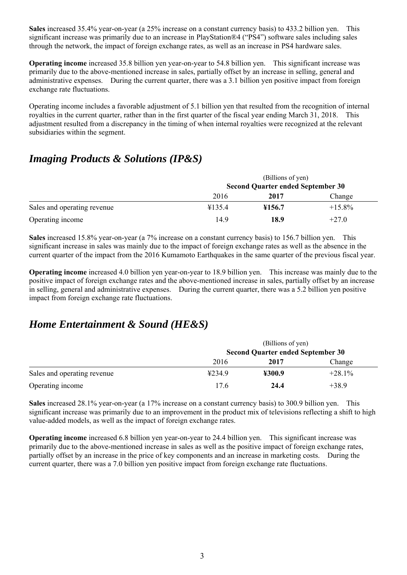**Sales** increased 35.4% year-on-year (a 25% increase on a constant currency basis) to 433.2 billion yen. This significant increase was primarily due to an increase in PlayStation®4 ("PS4") software sales including sales through the network, the impact of foreign exchange rates, as well as an increase in PS4 hardware sales.

**Operating income** increased 35.8 billion yen year-on-year to 54.8 billion yen. This significant increase was primarily due to the above-mentioned increase in sales, partially offset by an increase in selling, general and administrative expenses. During the current quarter, there was a 3.1 billion yen positive impact from foreign exchange rate fluctuations.

Operating income includes a favorable adjustment of 5.1 billion yen that resulted from the recognition of internal royalties in the current quarter, rather than in the first quarter of the fiscal year ending March 31, 2018. This adjustment resulted from a discrepancy in the timing of when internal royalties were recognized at the relevant subsidiaries within the segment.

# *Imaging Products & Solutions (IP&S)*

|                             | (Billions of yen)                        |        |           |  |
|-----------------------------|------------------------------------------|--------|-----------|--|
|                             | <b>Second Quarter ended September 30</b> |        |           |  |
|                             | 2016                                     | 2017   | Change    |  |
| Sales and operating revenue | ¥135.4                                   | ¥156.7 | $+15.8\%$ |  |
| Operating income            | 14.9                                     | 18.9   | $+27.0$   |  |

**Sales** increased 15.8% year-on-year (a 7% increase on a constant currency basis) to 156.7 billion yen. This significant increase in sales was mainly due to the impact of foreign exchange rates as well as the absence in the current quarter of the impact from the 2016 Kumamoto Earthquakes in the same quarter of the previous fiscal year.

**Operating income** increased 4.0 billion yen year-on-year to 18.9 billion yen. This increase was mainly due to the positive impact of foreign exchange rates and the above-mentioned increase in sales, partially offset by an increase in selling, general and administrative expenses. During the current quarter, there was a 5.2 billion yen positive impact from foreign exchange rate fluctuations.

# *Home Entertainment & Sound (HE&S)*

|                             | (Billions of yen)                        |        |           |  |
|-----------------------------|------------------------------------------|--------|-----------|--|
|                             | <b>Second Quarter ended September 30</b> |        |           |  |
|                             | 2016                                     | 2017   | Change    |  |
| Sales and operating revenue | 4234.9                                   | ¥300.9 | $+28.1\%$ |  |
| Operating income            | 17.6                                     | 24.4   | $+38.9$   |  |

**Sales** increased 28.1% year-on-year (a 17% increase on a constant currency basis) to 300.9 billion yen. This significant increase was primarily due to an improvement in the product mix of televisions reflecting a shift to high value-added models, as well as the impact of foreign exchange rates.

**Operating income** increased 6.8 billion yen year-on-year to 24.4 billion yen. This significant increase was primarily due to the above-mentioned increase in sales as well as the positive impact of foreign exchange rates, partially offset by an increase in the price of key components and an increase in marketing costs. During the current quarter, there was a 7.0 billion yen positive impact from foreign exchange rate fluctuations.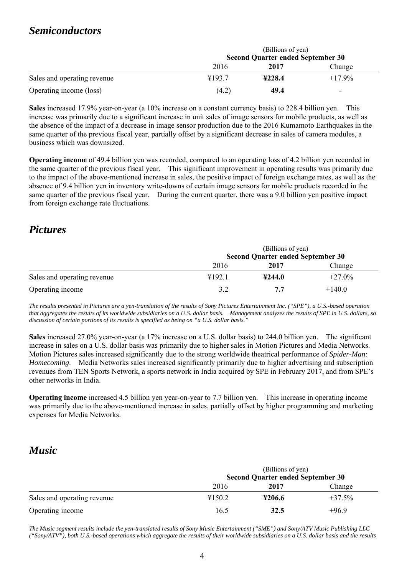## *Semiconductors*

|                             | (Billions of yen)                        |        |                          |  |
|-----------------------------|------------------------------------------|--------|--------------------------|--|
|                             | <b>Second Quarter ended September 30</b> |        |                          |  |
|                             | 2016                                     | 2017   | Change                   |  |
| Sales and operating revenue | ¥193.7                                   | 4228.4 | $+17.9\%$                |  |
| Operating income (loss)     | (4.2)                                    | 49.4   | $\overline{\phantom{a}}$ |  |

**Sales** increased 17.9% year-on-year (a 10% increase on a constant currency basis) to 228.4 billion yen. This increase was primarily due to a significant increase in unit sales of image sensors for mobile products, as well as the absence of the impact of a decrease in image sensor production due to the 2016 Kumamoto Earthquakes in the same quarter of the previous fiscal year, partially offset by a significant decrease in sales of camera modules, a business which was downsized.

**Operating income** of 49.4 billion yen was recorded, compared to an operating loss of 4.2 billion yen recorded in the same quarter of the previous fiscal year. This significant improvement in operating results was primarily due to the impact of the above-mentioned increase in sales, the positive impact of foreign exchange rates, as well as the absence of 9.4 billion yen in inventory write-downs of certain image sensors for mobile products recorded in the same quarter of the previous fiscal year. During the current quarter, there was a 9.0 billion yen positive impact from foreign exchange rate fluctuations.

## *Pictures*

|                             | (Billions of yen)                        |        |           |  |
|-----------------------------|------------------------------------------|--------|-----------|--|
|                             | <b>Second Quarter ended September 30</b> |        |           |  |
|                             | 2016                                     | 2017   | Change    |  |
| Sales and operating revenue | ¥192.1                                   | 4244.0 | $+27.0\%$ |  |
| Operating income            | 3.2                                      | 7.7    | $+140.0$  |  |

*The results presented in Pictures are a yen-translation of the results of Sony Pictures Entertainment Inc. ("SPE"), a U.S.-based operation that aggregates the results of its worldwide subsidiaries on a U.S. dollar basis. Management analyzes the results of SPE in U.S. dollars, so discussion of certain portions of its results is specified as being on "a U.S. dollar basis."* 

**Sales** increased 27.0% year-on-year (a 17% increase on a U.S. dollar basis) to 244.0 billion yen. The significant increase in sales on a U.S. dollar basis was primarily due to higher sales in Motion Pictures and Media Networks. Motion Pictures sales increased significantly due to the strong worldwide theatrical performance of *Spider-Man: Homecoming*. Media Networks sales increased significantly primarily due to higher advertising and subscription revenues from TEN Sports Network, a sports network in India acquired by SPE in February 2017, and from SPE's other networks in India.

**Operating income** increased 4.5 billion yen year-on-year to 7.7 billion yen. This increase in operating income was primarily due to the above-mentioned increase in sales, partially offset by higher programming and marketing expenses for Media Networks.

# *Music*

|                             | (Billions of yen)<br><b>Second Quarter ended September 30</b> |        |          |  |  |
|-----------------------------|---------------------------------------------------------------|--------|----------|--|--|
|                             | 2016                                                          |        |          |  |  |
| Sales and operating revenue | ¥150.2                                                        | ¥206.6 | $+37.5%$ |  |  |
| Operating income            | 16.5                                                          | 32.5   | $+96.9$  |  |  |

*The Music segment results include the yen-translated results of Sony Music Entertainment ("SME") and Sony/ATV Music Publishing LLC ("Sony/ATV"), both U.S.-based operations which aggregate the results of their worldwide subsidiaries on a U.S. dollar basis and the results*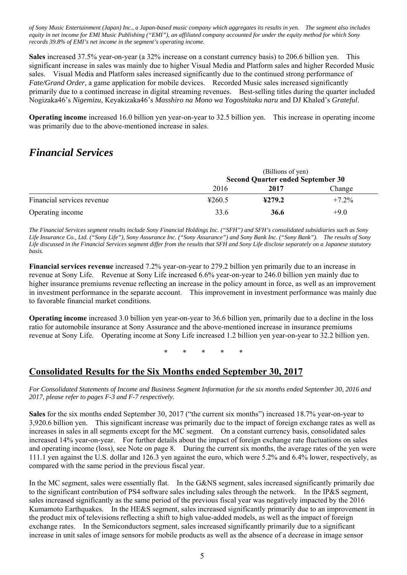*of Sony Music Entertainment (Japan) Inc., a Japan-based music company which aggregates its results in yen. The segment also includes equity in net income for EMI Music Publishing ("EMI"), an affiliated company accounted for under the equity method for which Sony records 39.8% of EMI's net income in the segment's operating income.* 

**Sales** increased 37.5% year-on-year (a 32% increase on a constant currency basis) to 206.6 billion yen. This significant increase in sales was mainly due to higher Visual Media and Platform sales and higher Recorded Music sales. Visual Media and Platform sales increased significantly due to the continued strong performance of *Fate/Grand Order*, a game application for mobile devices. Recorded Music sales increased significantly primarily due to a continued increase in digital streaming revenues. Best-selling titles during the quarter included Nogizaka46's *Nigemizu*, Keyakizaka46's *Masshiro na Mono wa Yogoshitaku naru* and DJ Khaled's *Grateful*.

**Operating income** increased 16.0 billion yen year-on-year to 32.5 billion yen. This increase in operating income was primarily due to the above-mentioned increase in sales.

## *Financial Services*

|                            | (Billions of yen)<br><b>Second Quarter ended September 30</b> |        |          |  |
|----------------------------|---------------------------------------------------------------|--------|----------|--|
|                            | 2016                                                          | 2017   | Change   |  |
| Financial services revenue | 4260.5                                                        | 4279.2 | $+7.2\%$ |  |
| Operating income           | 33.6                                                          | 36.6   | $+9.0$   |  |

*The Financial Services segment results include Sony Financial Holdings Inc. ("SFH") and SFH's consolidated subsidiaries such as Sony Life Insurance Co., Ltd. ("Sony Life"), Sony Assurance Inc. ("Sony Assurance") and Sony Bank Inc. ("Sony Bank"). The results of Sony Life discussed in the Financial Services segment differ from the results that SFH and Sony Life disclose separately on a Japanese statutory basis.* 

**Financial services revenue** increased 7.2% year-on-year to 279.2 billion yen primarily due to an increase in revenue at Sony Life. Revenue at Sony Life increased 6.6% year-on-year to 246.0 billion yen mainly due to higher insurance premiums revenue reflecting an increase in the policy amount in force, as well as an improvement in investment performance in the separate account. This improvement in investment performance was mainly due to favorable financial market conditions.

**Operating income** increased 3.0 billion yen year-on-year to 36.6 billion yen, primarily due to a decline in the loss ratio for automobile insurance at Sony Assurance and the above-mentioned increase in insurance premiums revenue at Sony Life. Operating income at Sony Life increased 1.2 billion yen year-on-year to 32.2 billion yen.

\* \* \* \* \*

## **Consolidated Results for the Six Months ended September 30, 2017**

*For Consolidated Statements of Income and Business Segment Information for the six months ended September 30, 2016 and 2017, please refer to pages F-3 and F-7 respectively.* 

**Sales** for the six months ended September 30, 2017 ("the current six months") increased 18.7% year-on-year to 3,920.6 billion yen. This significant increase was primarily due to the impact of foreign exchange rates as well as increases in sales in all segments except for the MC segment. On a constant currency basis, consolidated sales increased 14% year-on-year. For further details about the impact of foreign exchange rate fluctuations on sales and operating income (loss), see Note on page 8. During the current six months, the average rates of the yen were 111.1 yen against the U.S. dollar and 126.3 yen against the euro, which were 5.2% and 6.4% lower, respectively, as compared with the same period in the previous fiscal year.

In the MC segment, sales were essentially flat. In the G&NS segment, sales increased significantly primarily due to the significant contribution of PS4 software sales including sales through the network. In the IP&S segment, sales increased significantly as the same period of the previous fiscal year was negatively impacted by the 2016 Kumamoto Earthquakes. In the HE&S segment, sales increased significantly primarily due to an improvement in the product mix of televisions reflecting a shift to high value-added models, as well as the impact of foreign exchange rates. In the Semiconductors segment, sales increased significantly primarily due to a significant increase in unit sales of image sensors for mobile products as well as the absence of a decrease in image sensor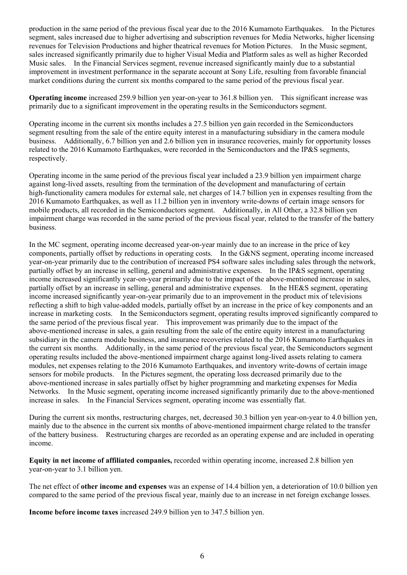production in the same period of the previous fiscal year due to the 2016 Kumamoto Earthquakes. In the Pictures segment, sales increased due to higher advertising and subscription revenues for Media Networks, higher licensing revenues for Television Productions and higher theatrical revenues for Motion Pictures. In the Music segment, sales increased significantly primarily due to higher Visual Media and Platform sales as well as higher Recorded Music sales. In the Financial Services segment, revenue increased significantly mainly due to a substantial improvement in investment performance in the separate account at Sony Life, resulting from favorable financial market conditions during the current six months compared to the same period of the previous fiscal year.

**Operating income** increased 259.9 billion yen year-on-year to 361.8 billion yen. This significant increase was primarily due to a significant improvement in the operating results in the Semiconductors segment.

Operating income in the current six months includes a 27.5 billion yen gain recorded in the Semiconductors segment resulting from the sale of the entire equity interest in a manufacturing subsidiary in the camera module business. Additionally, 6.7 billion yen and 2.6 billion yen in insurance recoveries, mainly for opportunity losses related to the 2016 Kumamoto Earthquakes, were recorded in the Semiconductors and the IP&S segments, respectively.

Operating income in the same period of the previous fiscal year included a 23.9 billion yen impairment charge against long-lived assets, resulting from the termination of the development and manufacturing of certain high-functionality camera modules for external sale, net charges of 14.7 billion yen in expenses resulting from the 2016 Kumamoto Earthquakes, as well as 11.2 billion yen in inventory write-downs of certain image sensors for mobile products, all recorded in the Semiconductors segment. Additionally, in All Other, a 32.8 billion yen impairment charge was recorded in the same period of the previous fiscal year, related to the transfer of the battery business.

In the MC segment, operating income decreased year-on-year mainly due to an increase in the price of key components, partially offset by reductions in operating costs. In the G&NS segment, operating income increased year-on-year primarily due to the contribution of increased PS4 software sales including sales through the network, partially offset by an increase in selling, general and administrative expenses. In the IP&S segment, operating income increased significantly year-on-year primarily due to the impact of the above-mentioned increase in sales, partially offset by an increase in selling, general and administrative expenses. In the HE&S segment, operating income increased significantly year-on-year primarily due to an improvement in the product mix of televisions reflecting a shift to high value-added models, partially offset by an increase in the price of key components and an increase in marketing costs. In the Semiconductors segment, operating results improved significantly compared to the same period of the previous fiscal year. This improvement was primarily due to the impact of the above-mentioned increase in sales, a gain resulting from the sale of the entire equity interest in a manufacturing subsidiary in the camera module business, and insurance recoveries related to the 2016 Kumamoto Earthquakes in the current six months. Additionally, in the same period of the previous fiscal year, the Semiconductors segment operating results included the above-mentioned impairment charge against long-lived assets relating to camera modules, net expenses relating to the 2016 Kumamoto Earthquakes, and inventory write-downs of certain image sensors for mobile products. In the Pictures segment, the operating loss decreased primarily due to the above-mentioned increase in sales partially offset by higher programming and marketing expenses for Media Networks. In the Music segment, operating income increased significantly primarily due to the above-mentioned increase in sales. In the Financial Services segment, operating income was essentially flat.

During the current six months, restructuring charges, net, decreased 30.3 billion yen year-on-year to 4.0 billion yen, mainly due to the absence in the current six months of above-mentioned impairment charge related to the transfer of the battery business. Restructuring charges are recorded as an operating expense and are included in operating income.

**Equity in net income of affiliated companies,** recorded within operating income, increased 2.8 billion yen year-on-year to 3.1 billion yen.

The net effect of **other income and expenses** was an expense of 14.4 billion yen, a deterioration of 10.0 billion yen compared to the same period of the previous fiscal year, mainly due to an increase in net foreign exchange losses.

**Income before income taxes** increased 249.9 billion yen to 347.5 billion yen.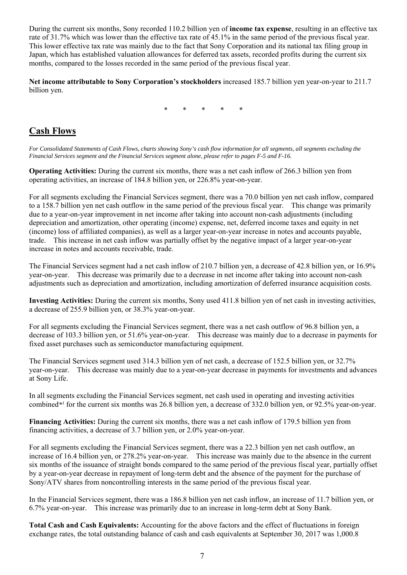During the current six months, Sony recorded 110.2 billion yen of **income tax expense**, resulting in an effective tax rate of 31.7% which was lower than the effective tax rate of 45.1% in the same period of the previous fiscal year. This lower effective tax rate was mainly due to the fact that Sony Corporation and its national tax filing group in Japan, which has established valuation allowances for deferred tax assets, recorded profits during the current six months, compared to the losses recorded in the same period of the previous fiscal year.

**Net income attributable to Sony Corporation's stockholders** increased 185.7 billion yen year-on-year to 211.7 billion yen.

\* \* \* \* \*

## **Cash Flows**

*For Consolidated Statements of Cash Flows, charts showing Sony's cash flow information for all segments, all segments excluding the Financial Services segment and the Financial Services segment alone, please refer to pages F-5 and F-16.* 

**Operating Activities:** During the current six months, there was a net cash inflow of 266.3 billion yen from operating activities, an increase of 184.8 billion yen, or 226.8% year-on-year.

For all segments excluding the Financial Services segment, there was a 70.0 billion yen net cash inflow, compared to a 158.7 billion yen net cash outflow in the same period of the previous fiscal year. This change was primarily due to a year-on-year improvement in net income after taking into account non-cash adjustments (including depreciation and amortization, other operating (income) expense, net, deferred income taxes and equity in net (income) loss of affiliated companies), as well as a larger year-on-year increase in notes and accounts payable, trade. This increase in net cash inflow was partially offset by the negative impact of a larger year-on-year increase in notes and accounts receivable, trade.

The Financial Services segment had a net cash inflow of 210.7 billion yen, a decrease of 42.8 billion yen, or 16.9% year-on-year. This decrease was primarily due to a decrease in net income after taking into account non-cash adjustments such as depreciation and amortization, including amortization of deferred insurance acquisition costs.

**Investing Activities:** During the current six months, Sony used 411.8 billion yen of net cash in investing activities, a decrease of 255.9 billion yen, or 38.3% year-on-year.

For all segments excluding the Financial Services segment, there was a net cash outflow of 96.8 billion yen, a decrease of 103.3 billion yen, or 51.6% year-on-year. This decrease was mainly due to a decrease in payments for fixed asset purchases such as semiconductor manufacturing equipment.

The Financial Services segment used 314.3 billion yen of net cash, a decrease of 152.5 billion yen, or 32.7% year-on-year. This decrease was mainly due to a year-on-year decrease in payments for investments and advances at Sony Life.

In all segments excluding the Financial Services segment, net cash used in operating and investing activities combined*\*1* for the current six months was 26.8 billion yen, a decrease of 332.0 billion yen, or 92.5% year-on-year.

**Financing Activities:** During the current six months, there was a net cash inflow of 179.5 billion yen from financing activities, a decrease of 3.7 billion yen, or 2.0% year-on-year.

For all segments excluding the Financial Services segment, there was a 22.3 billion yen net cash outflow, an increase of 16.4 billion yen, or 278.2% year-on-year. This increase was mainly due to the absence in the current six months of the issuance of straight bonds compared to the same period of the previous fiscal year, partially offset by a year-on-year decrease in repayment of long-term debt and the absence of the payment for the purchase of Sony/ATV shares from noncontrolling interests in the same period of the previous fiscal year.

In the Financial Services segment, there was a 186.8 billion yen net cash inflow, an increase of 11.7 billion yen, or 6.7% year-on-year. This increase was primarily due to an increase in long-term debt at Sony Bank.

**Total Cash and Cash Equivalents:** Accounting for the above factors and the effect of fluctuations in foreign exchange rates, the total outstanding balance of cash and cash equivalents at September 30, 2017 was 1,000.8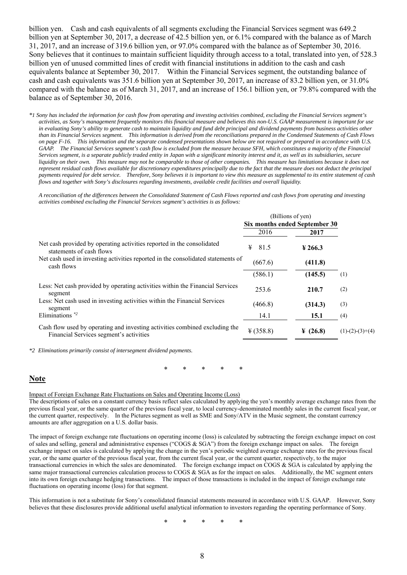billion yen. Cash and cash equivalents of all segments excluding the Financial Services segment was 649.2 billion yen at September 30, 2017, a decrease of 42.5 billion yen, or 6.1% compared with the balance as of March 31, 2017, and an increase of 319.6 billion yen, or 97.0% compared with the balance as of September 30, 2016. Sony believes that it continues to maintain sufficient liquidity through access to a total, translated into yen, of 528.3 billion yen of unused committed lines of credit with financial institutions in addition to the cash and cash equivalents balance at September 30, 2017. Within the Financial Services segment, the outstanding balance of cash and cash equivalents was 351.6 billion yen at September 30, 2017, an increase of 83.2 billion yen, or 31.0% compared with the balance as of March 31, 2017, and an increase of 156.1 billion yen, or 79.8% compared with the balance as of September 30, 2016.

*\*1 Sony has included the information for cash flow from operating and investing activities combined, excluding the Financial Services segment's activities, as Sony's management frequently monitors this financial measure and believes this non-U.S. GAAP measurement is important for use in evaluating Sony's ability to generate cash to maintain liquidity and fund debt principal and dividend payments from business activities other than its Financial Services segment. This information is derived from the reconciliations prepared in the Condensed Statements of Cash Flows on page F-16. This information and the separate condensed presentations shown below are not required or prepared in accordance with U.S. GAAP. The Financial Services segment's cash flow is excluded from the measure because SFH, which constitutes a majority of the Financial Services segment, is a separate publicly traded entity in Japan with a significant minority interest and it, as well as its subsidiaries, secure liquidity on their own. This measure may not be comparable to those of other companies. This measure has limitations because it does not represent residual cash flows available for discretionary expenditures principally due to the fact that the measure does not deduct the principal payments required for debt service. Therefore, Sony believes it is important to view this measure as supplemental to its entire statement of cash flows and together with Sony's disclosures regarding investments, available credit facilities and overall liquidity.* 

*A reconciliation of the differences between the Consolidated Statement of Cash Flows reported and cash flows from operating and investing activities combined excluding the Financial Services segment's activities is as follows:* 

| (Billions of yen)             |                      |                   |
|-------------------------------|----------------------|-------------------|
| Six months ended September 30 |                      |                   |
| 2016                          | 2017                 |                   |
| 81.5<br>¥                     | $\frac{1}{266.3}$    |                   |
| (667.6)                       | (411.8)              |                   |
| (586.1)                       | (145.5)              | (1)               |
| 253.6                         | 210.7                | (2)               |
| (466.8)                       | (314.3)              | (3)               |
| 14.1                          | 15.1                 | (4)               |
| ¥ (358.8)                     | $\frac{1}{2}$ (26.8) | $(1)-(2)-(3)+(4)$ |
|                               |                      |                   |

*\*2 Eliminations primarily consist of intersegment dividend payments.* 

\* \* \* \* \*

## **Note**

Impact of Foreign Exchange Rate Fluctuations on Sales and Operating Income (Loss)

The descriptions of sales on a constant currency basis reflect sales calculated by applying the yen's monthly average exchange rates from the previous fiscal year, or the same quarter of the previous fiscal year, to local currency-denominated monthly sales in the current fiscal year, or the current quarter, respectively. In the Pictures segment as well as SME and Sony/ATV in the Music segment, the constant currency amounts are after aggregation on a U.S. dollar basis.

The impact of foreign exchange rate fluctuations on operating income (loss) is calculated by subtracting the foreign exchange impact on cost of sales and selling, general and administrative expenses ("COGS & SGA") from the foreign exchange impact on sales. The foreign exchange impact on sales is calculated by applying the change in the yen's periodic weighted average exchange rates for the previous fiscal year, or the same quarter of the previous fiscal year, from the current fiscal year, or the current quarter, respectively, to the major transactional currencies in which the sales are denominated. The foreign exchange impact on COGS & SGA is calculated by applying the same major transactional currencies calculation process to COGS & SGA as for the impact on sales. Additionally, the MC segment enters into its own foreign exchange hedging transactions. The impact of those transactions is included in the impact of foreign exchange rate fluctuations on operating income (loss) for that segment.

This information is not a substitute for Sony's consolidated financial statements measured in accordance with U.S. GAAP. However, Sony believes that these disclosures provide additional useful analytical information to investors regarding the operating performance of Sony.

\* \* \* \* \*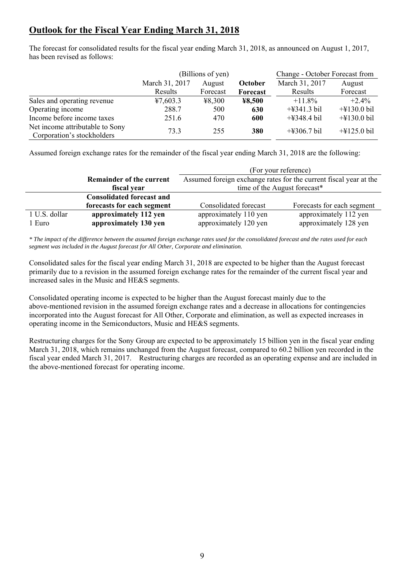## **Outlook for the Fiscal Year Ending March 31, 2018**

The forecast for consolidated results for the fiscal year ending March 31, 2018, as announced on August 1, 2017, has been revised as follows:

|                                                               | (Billions of yen) |          |          | Change - October Forecast from |                                 |
|---------------------------------------------------------------|-------------------|----------|----------|--------------------------------|---------------------------------|
|                                                               | March 31, 2017    | August   | October  | March 31, 2017                 | August                          |
|                                                               | Results           | Forecast | Forecast | Results                        | Forecast                        |
| Sales and operating revenue                                   | 47,603.3          | 48,300   | ¥8,500   | $+11.8\%$                      | $+2.4%$                         |
| Operating income                                              | 288.7             | 500      | 630      | $+4341.3$ bil                  | $+4130.0$ bil                   |
| Income before income taxes                                    | 251.6             | 470      | 600      | $+4348.4$ bil                  | $+\frac{1}{2}130.0 \text{ bil}$ |
| Net income attributable to Sony<br>Corporation's stockholders | 73.3              | 255      | 380      | $+4306.7$ bil                  | $+\frac{1}{2}125.0 \text{ bil}$ |

Assumed foreign exchange rates for the remainder of the fiscal year ending March 31, 2018 are the following:

|               |                                  | (For your reference)                                              |                            |  |  |  |  |
|---------------|----------------------------------|-------------------------------------------------------------------|----------------------------|--|--|--|--|
|               | <b>Remainder of the current</b>  | Assumed foreign exchange rates for the current fiscal year at the |                            |  |  |  |  |
|               | fiscal year                      | time of the August forecast*                                      |                            |  |  |  |  |
|               | <b>Consolidated forecast and</b> |                                                                   |                            |  |  |  |  |
|               | forecasts for each segment       | Consolidated forecast                                             | Forecasts for each segment |  |  |  |  |
| 1 U.S. dollar | approximately 112 yen            | approximately 110 yen                                             | approximately 112 yen      |  |  |  |  |
| 1 Euro        | approximately 130 yen            | approximately 120 yen                                             | approximately 128 yen      |  |  |  |  |

*\* The impact of the difference between the assumed foreign exchange rates used for the consolidated forecast and the rates used for each segment was included in the August forecast for All Other, Corporate and elimination.* 

Consolidated sales for the fiscal year ending March 31, 2018 are expected to be higher than the August forecast primarily due to a revision in the assumed foreign exchange rates for the remainder of the current fiscal year and increased sales in the Music and HE&S segments.

Consolidated operating income is expected to be higher than the August forecast mainly due to the above-mentioned revision in the assumed foreign exchange rates and a decrease in allocations for contingencies incorporated into the August forecast for All Other, Corporate and elimination, as well as expected increases in operating income in the Semiconductors, Music and HE&S segments.

Restructuring charges for the Sony Group are expected to be approximately 15 billion yen in the fiscal year ending March 31, 2018, which remains unchanged from the August forecast, compared to 60.2 billion yen recorded in the fiscal year ended March 31, 2017. Restructuring charges are recorded as an operating expense and are included in the above-mentioned forecast for operating income.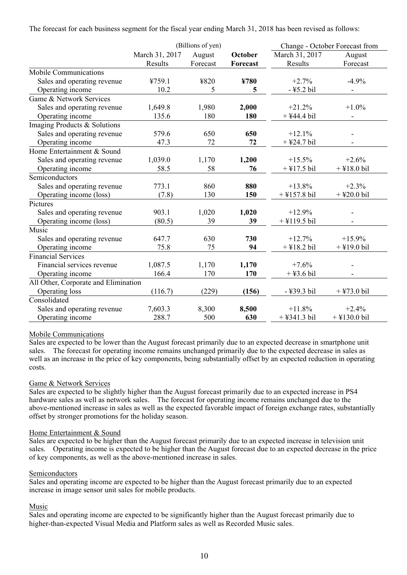The forecast for each business segment for the fiscal year ending March 31, 2018 has been revised as follows:

|                                      |                | (Billions of yen) |          |                | Change - October Forecast from |
|--------------------------------------|----------------|-------------------|----------|----------------|--------------------------------|
|                                      | March 31, 2017 | August            | October  | March 31, 2017 | August                         |
|                                      | Results        | Forecast          | Forecast | Results        | Forecast                       |
| Mobile Communications                |                |                   |          |                |                                |
| Sales and operating revenue          | ¥759.1         | ¥820              | ¥780     | $+2.7%$        | $-4.9%$                        |
| Operating income                     | 10.2           | 5                 | 5        | -¥5.2 bil      | $\overline{\phantom{a}}$       |
| Game & Network Services              |                |                   |          |                |                                |
| Sales and operating revenue          | 1,649.8        | 1,980             | 2,000    | $+21.2%$       | $+1.0\%$                       |
| Operating income                     | 135.6          | 180               | 180      | $+$ ¥44.4 bil  | $\overline{\phantom{m}}$       |
| Imaging Products & Solutions         |                |                   |          |                |                                |
| Sales and operating revenue          | 579.6          | 650               | 650      | $+12.1%$       |                                |
| Operating income                     | 47.3           | 72                | 72       | $+$ ¥24.7 bil  |                                |
| Home Entertainment & Sound           |                |                   |          |                |                                |
| Sales and operating revenue          | 1,039.0        | 1,170             | 1,200    | $+15.5%$       | $+2.6%$                        |
| Operating income                     | 58.5           | 58                | 76       | $+$ ¥17.5 bil  | $+$ ¥18.0 bil                  |
| Semiconductors                       |                |                   |          |                |                                |
| Sales and operating revenue          | 773.1          | 860               | 880      | $+13.8%$       | $+2.3%$                        |
| Operating income (loss)              | (7.8)          | 130               | 150      | $+$ ¥157.8 bil | $+$ ¥20.0 bil                  |
| Pictures                             |                |                   |          |                |                                |
| Sales and operating revenue          | 903.1          | 1,020             | 1,020    | $+12.9%$       |                                |
| Operating income (loss)              | (80.5)         | 39                | 39       | $+$ ¥119.5 bil |                                |
| Music                                |                |                   |          |                |                                |
| Sales and operating revenue          | 647.7          | 630               | 730      | $+12.7%$       | $+15.9%$                       |
| Operating income                     | 75.8           | 75                | 94       | $+$ ¥18.2 bil  | $+$ ¥19.0 bil                  |
| <b>Financial Services</b>            |                |                   |          |                |                                |
| Financial services revenue           | 1,087.5        | 1,170             | 1,170    | $+7.6%$        |                                |
| Operating income                     | 166.4          | 170               | 170      | $+$ ¥3.6 bil   |                                |
| All Other, Corporate and Elimination |                |                   |          |                |                                |
| Operating loss                       | (116.7)        | (229)             | (156)    | -¥39.3 bil     | $+$ ¥73.0 bil                  |
| Consolidated                         |                |                   |          |                |                                |
| Sales and operating revenue          | 7,603.3        | 8,300             | 8,500    | $+11.8%$       | $+2.4%$                        |
| Operating income                     | 288.7          | 500               | 630      | $+$ ¥341.3 bil | $+$ ¥130.0 bil                 |

## Mobile Communications

Sales are expected to be lower than the August forecast primarily due to an expected decrease in smartphone unit sales. The forecast for operating income remains unchanged primarily due to the expected decrease in sales as well as an increase in the price of key components, being substantially offset by an expected reduction in operating costs.

### Game & Network Services

Sales are expected to be slightly higher than the August forecast primarily due to an expected increase in PS4 hardware sales as well as network sales. The forecast for operating income remains unchanged due to the above-mentioned increase in sales as well as the expected favorable impact of foreign exchange rates, substantially offset by stronger promotions for the holiday season.

### Home Entertainment & Sound

Sales are expected to be higher than the August forecast primarily due to an expected increase in television unit sales. Operating income is expected to be higher than the August forecast due to an expected decrease in the price of key components, as well as the above-mentioned increase in sales.

### Semiconductors

Sales and operating income are expected to be higher than the August forecast primarily due to an expected increase in image sensor unit sales for mobile products.

### Music

Sales and operating income are expected to be significantly higher than the August forecast primarily due to higher-than-expected Visual Media and Platform sales as well as Recorded Music sales.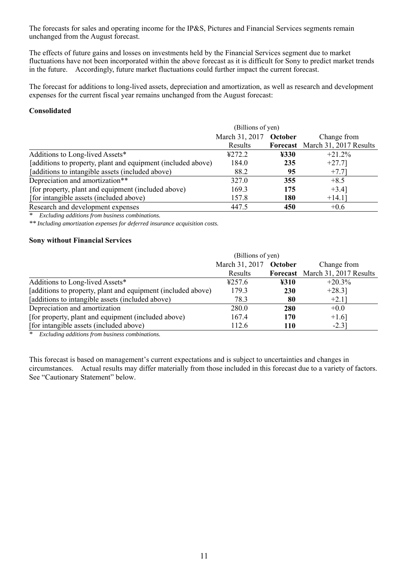The forecasts for sales and operating income for the IP&S, Pictures and Financial Services segments remain unchanged from the August forecast.

The effects of future gains and losses on investments held by the Financial Services segment due to market fluctuations have not been incorporated within the above forecast as it is difficult for Sony to predict market trends in the future. Accordingly, future market fluctuations could further impact the current forecast.

The forecast for additions to long-lived assets, depreciation and amortization, as well as research and development expenses for the current fiscal year remains unchanged from the August forecast:

## **Consolidated**

|                                                              | (Billions of yen)      |                                            |                                 |  |  |  |  |
|--------------------------------------------------------------|------------------------|--------------------------------------------|---------------------------------|--|--|--|--|
|                                                              | March 31, 2017 October | Change from                                |                                 |  |  |  |  |
|                                                              | Results                |                                            | Forecast March 31, 2017 Results |  |  |  |  |
| Additions to Long-lived Assets*                              | 4272.2                 | $\textcolor{blue}{\textbf{\texttt{4330}}}$ | $+21.2%$                        |  |  |  |  |
| [additions to property, plant and equipment (included above) | 184.0                  | 235                                        | $+27.7$ ]                       |  |  |  |  |
| [additions to intangible assets (included above)             | 88.2                   | 95                                         | $+7.71$                         |  |  |  |  |
| Depreciation and amortization**                              | 327.0                  | 355                                        | $+8.5$                          |  |  |  |  |
| [for property, plant and equipment (included above)          | 169.3                  | 175                                        | $+3.4$ ]                        |  |  |  |  |
| [for intangible assets (included above)                      | 157.8                  | 180                                        | $+14.1$ ]                       |  |  |  |  |
| Research and development expenses                            | 447.5                  | 450                                        | $+0.6$                          |  |  |  |  |

*\* Excluding additions from business combinations.* 

*\*\* Including amortization expenses for deferred insurance acquisition costs.* 

### **Sony without Financial Services**

|                                                              | (Billions of yen)         |             |                        |  |  |  |
|--------------------------------------------------------------|---------------------------|-------------|------------------------|--|--|--|
|                                                              | March 31, 2017<br>October | Change from |                        |  |  |  |
|                                                              | Results                   | Forecast    | March 31, 2017 Results |  |  |  |
| Additions to Long-lived Assets*                              | 4257.6                    | ¥310        | $+20.3%$               |  |  |  |
| [additions to property, plant and equipment (included above) | 179.3                     | <b>230</b>  | $+28.3$ ]              |  |  |  |
| [additions to intangible assets (included above)             | 78.3                      | 80          | $+2.1$ ]               |  |  |  |
| Depreciation and amortization                                | 280.0                     | 280         | $+0.0$                 |  |  |  |
| [for property, plant and equipment (included above)          | 167.4                     | 170         | $+1.6$ ]               |  |  |  |
| [for intangible assets (included above)                      | 112.6                     | <b>110</b>  | $-2.31$                |  |  |  |
|                                                              |                           |             |                        |  |  |  |

*\* Excluding additions from business combinations.* 

This forecast is based on management's current expectations and is subject to uncertainties and changes in circumstances. Actual results may differ materially from those included in this forecast due to a variety of factors. See "Cautionary Statement" below.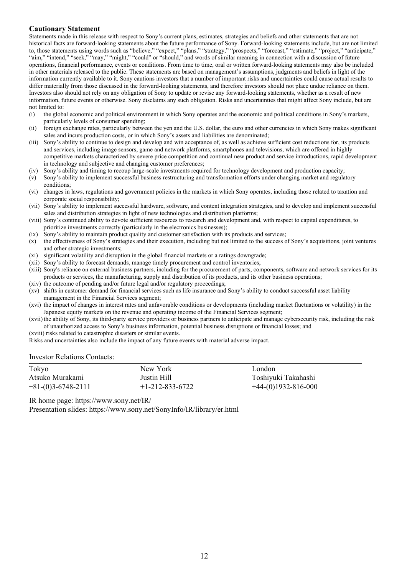### **Cautionary Statement**

Statements made in this release with respect to Sony's current plans, estimates, strategies and beliefs and other statements that are not historical facts are forward-looking statements about the future performance of Sony. Forward-looking statements include, but are not limited to, those statements using words such as "believe," "expect," "plans," "strategy," "prospects," "forecast," "estimate," "project," "anticipate," "aim," "intend," "seek," "may," "might," "could" or "should," and words of similar meaning in connection with a discussion of future operations, financial performance, events or conditions. From time to time, oral or written forward-looking statements may also be included in other materials released to the public. These statements are based on management's assumptions, judgments and beliefs in light of the information currently available to it. Sony cautions investors that a number of important risks and uncertainties could cause actual results to differ materially from those discussed in the forward-looking statements, and therefore investors should not place undue reliance on them. Investors also should not rely on any obligation of Sony to update or revise any forward-looking statements, whether as a result of new information, future events or otherwise. Sony disclaims any such obligation. Risks and uncertainties that might affect Sony include, but are not limited to:

- (i) the global economic and political environment in which Sony operates and the economic and political conditions in Sony's markets, particularly levels of consumer spending;
- (ii) foreign exchange rates, particularly between the yen and the U.S. dollar, the euro and other currencies in which Sony makes significant sales and incurs production costs, or in which Sony's assets and liabilities are denominated;
- (iii) Sony's ability to continue to design and develop and win acceptance of, as well as achieve sufficient cost reductions for, its products and services, including image sensors, game and network platforms, smartphones and televisions, which are offered in highly competitive markets characterized by severe price competition and continual new product and service introductions, rapid development in technology and subjective and changing customer preferences;
- (iv) Sony's ability and timing to recoup large-scale investments required for technology development and production capacity;
- (v) Sony's ability to implement successful business restructuring and transformation efforts under changing market and regulatory conditions;
- (vi) changes in laws, regulations and government policies in the markets in which Sony operates, including those related to taxation and corporate social responsibility;
- (vii) Sony's ability to implement successful hardware, software, and content integration strategies, and to develop and implement successful sales and distribution strategies in light of new technologies and distribution platforms;
- (viii) Sony's continued ability to devote sufficient resources to research and development and, with respect to capital expenditures, to prioritize investments correctly (particularly in the electronics businesses);
- (ix) Sony's ability to maintain product quality and customer satisfaction with its products and services;
- (x) the effectiveness of Sony's strategies and their execution, including but not limited to the success of Sony's acquisitions, joint ventures and other strategic investments;
- (xi) significant volatility and disruption in the global financial markets or a ratings downgrade;
- (xii) Sony's ability to forecast demands, manage timely procurement and control inventories;
- (xiii) Sony's reliance on external business partners, including for the procurement of parts, components, software and network services for its products or services, the manufacturing, supply and distribution of its products, and its other business operations;
- (xiv) the outcome of pending and/or future legal and/or regulatory proceedings;
- (xv) shifts in customer demand for financial services such as life insurance and Sony's ability to conduct successful asset liability management in the Financial Services segment;
- (xvi) the impact of changes in interest rates and unfavorable conditions or developments (including market fluctuations or volatility) in the Japanese equity markets on the revenue and operating income of the Financial Services segment;
- (xvii) the ability of Sony, its third-party service providers or business partners to anticipate and manage cybersecurity risk, including the risk of unauthorized access to Sony's business information, potential business disruptions or financial losses; and
- (xviii) risks related to catastrophic disasters or similar events.

Risks and uncertainties also include the impact of any future events with material adverse impact.

#### Investor Relations Contacts:

| Tokyo                | New York                | London.               |
|----------------------|-------------------------|-----------------------|
| Atsuko Murakami      | Justin Hill             | Toshiyuki Takahashi   |
| $+81-(0)3-6748-2111$ | $+1 - 212 - 833 - 6722$ | $+44-(0)1932-816-000$ |

IR home page: https://www.sony.net/IR/

Presentation slides: https://www.sony.net/SonyInfo/IR/library/er.html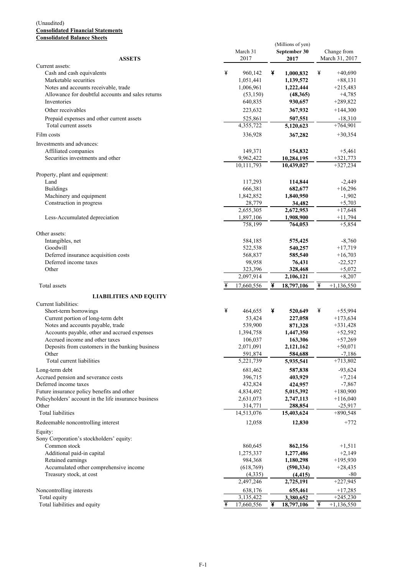#### (Unaudited) **Consolidated Financial Statements Consolidated Balance Sheets**

|                                                       |                       | (Millions of yen)     |                         |
|-------------------------------------------------------|-----------------------|-----------------------|-------------------------|
|                                                       | March 31              | September 30          | Change from             |
| <b>ASSETS</b><br>Current assets:                      | 2017                  | 2017                  | March 31, 2017          |
| Cash and cash equivalents                             | ¥<br>960,142          | ¥<br>1,000,832        | ¥<br>$+40,690$          |
| Marketable securities                                 | 1,051,441             | 1,139,572             | $+88,131$               |
| Notes and accounts receivable, trade                  | 1,006,961             | 1,222,444             | $+215,483$              |
| Allowance for doubtful accounts and sales returns     | (53, 150)             | (48,365)              | $+4,785$                |
| Inventories                                           | 640,835               | 930,657               | $+289,822$              |
| Other receivables                                     | 223,632               | 367,932               | $+144,300$              |
| Prepaid expenses and other current assets             | 525,861               | 507,551               | $-18,310$               |
| Total current assets                                  | 4,355,722             | 5,120,623             | $+764,901$              |
| Film costs                                            | 336,928               | 367,282               | $+30,354$               |
| Investments and advances:                             |                       |                       |                         |
| Affiliated companies                                  | 149,371               | 154,832               | $+5,461$                |
| Securities investments and other                      | 9,962,422             | 10,284,195            | $+321,773$              |
|                                                       | 10,111,793            | 10,439,027            | $+327,234$              |
| Property, plant and equipment:                        |                       |                       |                         |
| Land                                                  | 117,293               | 114,844               | $-2,449$                |
| <b>Buildings</b>                                      | 666,381               | 682,677               | $+16,296$               |
| Machinery and equipment                               | 1,842,852             | 1,840,950             | $-1,902$                |
| Construction in progress                              | 28,779                | 34,482                | $+5,703$                |
|                                                       | 2,655,305             | 2,672,953             | $+17,648$               |
| Less-Accumulated depreciation                         | 1,897,106             | 1,908,900             | $+11,794$               |
|                                                       | 758,199               | 764,053               | $+5,854$                |
| Other assets:                                         |                       |                       |                         |
| Intangibles, net<br>Goodwill                          | 584,185               | 575,425<br>540,257    | $-8,760$<br>$+17,719$   |
| Deferred insurance acquisition costs                  | 522,538<br>568,837    | 585,540               |                         |
| Deferred income taxes                                 | 98,958                | 76,431                | $+16,703$<br>$-22,527$  |
| Other                                                 | 323,396               | 328,468               | $+5,072$                |
|                                                       | 2,097,914             | 2,106,121             | $+8,207$                |
| Total assets                                          | 17,660,556            | ¥<br>18,797,106       | ¥<br>$+1,136,550$       |
|                                                       |                       |                       |                         |
| <b>LIABILITIES AND EQUITY</b><br>Current liabilities: |                       |                       |                         |
| Short-term borrowings                                 | ¥<br>464,655          | ¥<br>520,649          | ¥<br>$+55,994$          |
| Current portion of long-term debt                     | 53,424                | 227,058               | $+173,634$              |
| Notes and accounts payable, trade                     | 539,900               | 871,328               | $+331,428$              |
| Accounts payable, other and accrued expenses          | 1,394,758             | 1,447,350             | $+52,592$               |
| Accrued income and other taxes                        | 106,037               | 163,306               | $+57,269$               |
| Deposits from customers in the banking business       | 2,071,091             | 2,121,162             | $+50,071$               |
| Other                                                 | 591,874               | 584,688               | $-7,186$                |
| Total current liabilities                             | 5,221,739             | 5,935,541             | $+713,802$              |
| Long-term debt                                        | 681,462               | 587,838               | $-93,624$               |
| Accrued pension and severance costs                   | 396,715               | 403,929               | $+7,214$                |
| Deferred income taxes                                 | 432,824               | 424,957               | $-7,867$                |
| Future insurance policy benefits and other            | 4,834,492             | 5,015,392             | $+180,900$              |
| Policyholders' account in the life insurance business | 2,631,073             | 2,747,113             | $+116,040$              |
| Other                                                 | 314,771               | 288,854               | $-25,917$               |
| Total liabilities                                     | 14,513,076            | 15,403,624            | $+890,548$              |
| Redeemable noncontrolling interest                    | 12,058                | 12,830                | $+772$                  |
| Equity:                                               |                       |                       |                         |
| Sony Corporation's stockholders' equity:              |                       |                       |                         |
| Common stock                                          | 860,645               | 862,156               | $+1,511$                |
| Additional paid-in capital                            | 1,275,337             | 1,277,486             | $+2,149$                |
| Retained earnings                                     | 984,368               | 1,180,298             | $+195,930$              |
| Accumulated other comprehensive income                | (618, 769)<br>(4,335) | (590, 334)            | $+28,435$               |
| Treasury stock, at cost                               | 2,497,246             | (4, 415)<br>2,725,191 | $-80$<br>$+227,945$     |
|                                                       |                       |                       |                         |
| Noncontrolling interests<br>Total equity              | 638,176<br>3,135,422  | 655,461<br>3,380,652  | $+17,285$<br>$+245,230$ |
|                                                       |                       | ¥<br>18,797,106       | ¥<br>$+1,136,550$       |
| Total liabilities and equity                          | ¥<br>17,660,556       |                       |                         |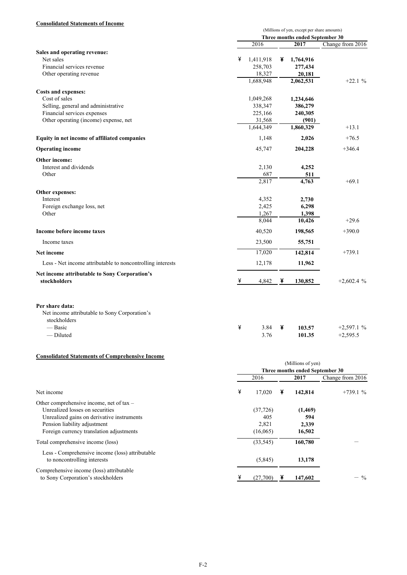### **Consolidated Statements of Income**

|                                                                                  | (Millions of yen, except per share amounts) |           |   |                                 |                  |
|----------------------------------------------------------------------------------|---------------------------------------------|-----------|---|---------------------------------|------------------|
|                                                                                  |                                             |           |   | Three months ended September 30 |                  |
|                                                                                  |                                             | 2016      |   | 2017                            | Change from 2016 |
| Sales and operating revenue:                                                     |                                             |           |   |                                 |                  |
| Net sales                                                                        | ¥                                           | 1,411,918 | ¥ | 1,764,916                       |                  |
| Financial services revenue                                                       |                                             | 258,703   |   | 277,434                         |                  |
| Other operating revenue                                                          |                                             | 18,327    |   | 20,181                          |                  |
|                                                                                  |                                             | 1,688,948 |   | 2,062,531                       | $+22.1%$         |
| Costs and expenses:                                                              |                                             |           |   |                                 |                  |
| Cost of sales                                                                    |                                             | 1,049,268 |   | 1,234,646                       |                  |
| Selling, general and administrative                                              |                                             | 338,347   |   | 386,279                         |                  |
| Financial services expenses                                                      |                                             | 225,166   |   | 240,305                         |                  |
| Other operating (income) expense, net                                            |                                             | 31,568    |   | (901)                           |                  |
|                                                                                  |                                             | 1,644,349 |   | 1,860,329                       | $+13.1$          |
| Equity in net income of affiliated companies                                     |                                             | 1,148     |   | 2,026                           | $+76.5$          |
|                                                                                  |                                             |           |   |                                 |                  |
| <b>Operating income</b>                                                          |                                             | 45,747    |   | 204,228                         | $+346.4$         |
| Other income:                                                                    |                                             |           |   |                                 |                  |
| Interest and dividends                                                           |                                             | 2,130     |   | 4,252                           |                  |
| Other                                                                            |                                             | 687       |   | 511                             |                  |
|                                                                                  |                                             | 2,817     |   | 4,763                           | $+69.1$          |
| Other expenses:                                                                  |                                             |           |   |                                 |                  |
| Interest                                                                         |                                             | 4,352     |   | 2,730                           |                  |
| Foreign exchange loss, net                                                       |                                             | 2,425     |   | 6,298                           |                  |
| Other                                                                            |                                             | 1,267     |   | 1,398                           |                  |
|                                                                                  |                                             | 8,044     |   | 10,426                          | $+29.6$          |
| Income before income taxes                                                       |                                             | 40,520    |   | 198,565                         | $+390.0$         |
| Income taxes                                                                     |                                             | 23,500    |   | 55,751                          |                  |
| <b>Net income</b>                                                                |                                             | 17,020    |   | 142,814                         | $+739.1$         |
| Less - Net income attributable to noncontrolling interests                       |                                             | 12,178    |   | 11,962                          |                  |
| Net income attributable to Sony Corporation's                                    |                                             |           |   |                                 |                  |
| stockholders                                                                     | ¥                                           | 4,842     | ¥ | 130,852                         | $+2.602.4%$      |
| Per share data:<br>Net income attributable to Sony Corporation's<br>stockholders |                                             |           |   |                                 |                  |
| — Basic                                                                          | ¥                                           | 3.84      | ¥ | 103.57                          | $+2,597.1%$      |
| — Diluted                                                                        |                                             | 3.76      |   | 101.35                          | $+2,595.5$       |
|                                                                                  |                                             |           |   |                                 |                  |

#### **Consolidated Statements of Comprehensive Income**

|                                                                                                                                                                                                       | (Millions of yen)<br>Three months ended September 30 |   |                                    |                    |  |  |  |
|-------------------------------------------------------------------------------------------------------------------------------------------------------------------------------------------------------|------------------------------------------------------|---|------------------------------------|--------------------|--|--|--|
|                                                                                                                                                                                                       | 2016                                                 |   | 2017                               | Change from $2016$ |  |  |  |
| Net income                                                                                                                                                                                            | ¥<br>17,020                                          | ¥ | 142,814                            | $+739.1%$          |  |  |  |
| Other comprehensive income, net of tax –<br>Unrealized losses on securities<br>Unrealized gains on derivative instruments<br>Pension liability adjustment<br>Foreign currency translation adjustments | (37,726)<br>405<br>2,821<br>(16,065)                 |   | (1, 469)<br>594<br>2,339<br>16,502 |                    |  |  |  |
| Total comprehensive income (loss)<br>Less - Comprehensive income (loss) attributable                                                                                                                  | (33, 545)                                            |   | 160,780                            |                    |  |  |  |
| to noncontrolling interests<br>Comprehensive income (loss) attributable<br>to Sony Corporation's stockholders                                                                                         | (5,845)<br>¥<br>(27,700)                             |   | 13,178<br>147,602                  | $-$ %              |  |  |  |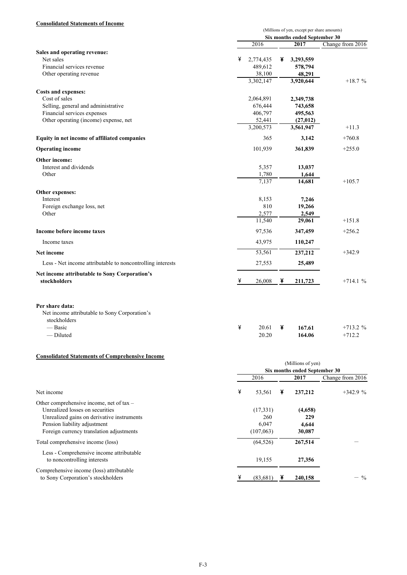### **Consolidated Statements of Income**

|                                                                                  | (Millions of yen, except per share amounts) |   |                               |                  |
|----------------------------------------------------------------------------------|---------------------------------------------|---|-------------------------------|------------------|
|                                                                                  |                                             |   | Six months ended September 30 |                  |
|                                                                                  | 2016                                        |   | 2017                          | Change from 2016 |
| Sales and operating revenue:                                                     |                                             |   |                               |                  |
| Net sales                                                                        | ¥<br>2,774,435                              | ¥ | 3,293,559                     |                  |
| Financial services revenue                                                       | 489,612                                     |   | 578,794                       |                  |
| Other operating revenue                                                          | 38,100                                      |   | 48,291                        |                  |
|                                                                                  | 3,302,147                                   |   | 3,920,644                     | $+18.7%$         |
|                                                                                  |                                             |   |                               |                  |
| Costs and expenses:<br>Cost of sales                                             |                                             |   | 2,349,738                     |                  |
| Selling, general and administrative                                              | 2,064,891                                   |   |                               |                  |
| Financial services expenses                                                      | 676,444<br>406,797                          |   | 743,658                       |                  |
| Other operating (income) expense, net                                            | 52,441                                      |   | 495,563                       |                  |
|                                                                                  | 3,200,573                                   |   | (27, 012)<br>3,561,947        | $+11.3$          |
|                                                                                  |                                             |   |                               |                  |
| Equity in net income of affiliated companies                                     | 365                                         |   | 3,142                         | $+760.8$         |
| <b>Operating income</b>                                                          | 101,939                                     |   | 361,839                       | $+255.0$         |
| Other income:                                                                    |                                             |   |                               |                  |
| Interest and dividends                                                           | 5,357                                       |   | 13,037                        |                  |
| Other                                                                            | 1,780                                       |   | 1,644                         |                  |
|                                                                                  | 7.137                                       |   | 14,681                        | $+105.7$         |
| Other expenses:                                                                  |                                             |   |                               |                  |
| Interest                                                                         | 8,153                                       |   | 7,246                         |                  |
| Foreign exchange loss, net                                                       | 810                                         |   | 19,266                        |                  |
| Other                                                                            | 2,577                                       |   | 2,549                         |                  |
|                                                                                  | 11,540                                      |   | 29,061                        | $+151.8$         |
| Income before income taxes                                                       | 97,536                                      |   | 347,459                       | $+256.2$         |
| Income taxes                                                                     | 43,975                                      |   | 110,247                       |                  |
| <b>Net income</b>                                                                | 53,561                                      |   | 237,212                       | $+342.9$         |
| Less - Net income attributable to noncontrolling interests                       | 27,553                                      |   | 25,489                        |                  |
| Net income attributable to Sony Corporation's                                    |                                             |   |                               |                  |
| stockholders                                                                     | ¥<br>26,008                                 | ¥ | 211,723                       | $+714.1%$        |
| Per share data:<br>Net income attributable to Sony Corporation's<br>stockholders |                                             |   |                               |                  |
| — Basic                                                                          | ¥<br>20.61                                  | ¥ | 167.61                        | $+713.2%$        |
| — Diluted                                                                        | 20.20                                       |   | 164.06                        | $+712.2$         |
|                                                                                  |                                             |   |                               |                  |

#### **Consolidated Statements of Comprehensive Income**

|                                                                                                                                                                                                       | (Millions of yen)<br>Six months ended September 30 |                                   |                  |  |  |
|-------------------------------------------------------------------------------------------------------------------------------------------------------------------------------------------------------|----------------------------------------------------|-----------------------------------|------------------|--|--|
|                                                                                                                                                                                                       | 2016                                               | 2017                              | Change from 2016 |  |  |
| Net income                                                                                                                                                                                            | ¥<br>53,561                                        | ¥<br>237,212                      | $+342.9%$        |  |  |
| Other comprehensive income, net of tax –<br>Unrealized losses on securities<br>Unrealized gains on derivative instruments<br>Pension liability adjustment<br>Foreign currency translation adjustments | (17, 331)<br>260<br>6,047<br>(107, 063)            | (4,658)<br>229<br>4,644<br>30,087 |                  |  |  |
| Total comprehensive income (loss)                                                                                                                                                                     | (64, 526)                                          | 267,514                           |                  |  |  |
| Less - Comprehensive income attributable<br>to noncontrolling interests                                                                                                                               | 19,155                                             | 27,356                            |                  |  |  |
| Comprehensive income (loss) attributable<br>to Sony Corporation's stockholders                                                                                                                        | ¥<br>(83,681)                                      | 240,158                           | $-$ %            |  |  |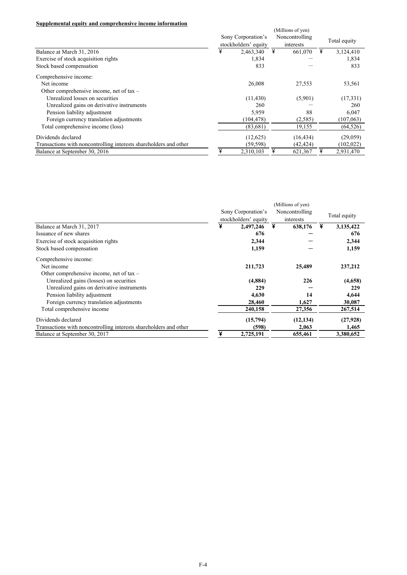### **Supplemental equity and comprehensive income information**

| эцррісінсінаі сцину ани соніргенсіізгус пісоніс пітоі піацоп      | (Millions of yen)                          |           |   |                             |   |              |  |
|-------------------------------------------------------------------|--------------------------------------------|-----------|---|-----------------------------|---|--------------|--|
|                                                                   | Sony Corporation's<br>stockholders' equity |           |   | Noncontrolling<br>interests |   | Total equity |  |
| Balance at March 31, 2016                                         | ¥                                          | 2,463,340 | ¥ | 661,070                     | ¥ | 3,124,410    |  |
| Exercise of stock acquisition rights                              |                                            | 1,834     |   |                             |   | 1,834        |  |
| Stock based compensation                                          |                                            | 833       |   |                             |   | 833          |  |
| Comprehensive income:                                             |                                            |           |   |                             |   |              |  |
| Net income                                                        |                                            | 26,008    |   | 27,553                      |   | 53,561       |  |
| Other comprehensive income, net of $tax -$                        |                                            |           |   |                             |   |              |  |
| Unrealized losses on securities                                   |                                            | (11, 430) |   | (5,901)                     |   | (17, 331)    |  |
| Unrealized gains on derivative instruments                        |                                            | 260       |   |                             |   | 260          |  |
| Pension liability adjustment                                      |                                            | 5,959     |   | 88                          |   | 6,047        |  |
| Foreign currency translation adjustments                          |                                            | (104,478) |   | (2,585)                     |   | (107, 063)   |  |
| Total comprehensive income (loss)                                 |                                            | (83,681)  |   | 19,155                      |   | (64, 526)    |  |
| Dividends declared                                                |                                            | (12,625)  |   | (16, 434)                   |   | (29,059)     |  |
| Transactions with noncontrolling interests shareholders and other |                                            | (59, 598) |   | (42, 424)                   |   | (102, 022)   |  |
| Balance at September 30, 2016                                     | ¥                                          | 2,310,103 | ¥ | 621,367                     |   | 2,931,470    |  |

|                                                                   |                    |                      | (Millions of yen) |              |
|-------------------------------------------------------------------|--------------------|----------------------|-------------------|--------------|
|                                                                   | Sony Corporation's |                      | Noncontrolling    | Total equity |
|                                                                   |                    | stockholders' equity | interests         |              |
| Balance at March 31, 2017                                         | ¥                  | 2,497,246            | ¥<br>638,176      | 3,135,422    |
| Issuance of new shares                                            |                    | 676                  |                   | 676          |
| Exercise of stock acquisition rights                              |                    | 2,344                |                   | 2,344        |
| Stock based compensation                                          |                    | 1,159                |                   | 1,159        |
| Comprehensive income:                                             |                    |                      |                   |              |
| Net income                                                        |                    | 211,723              | 25,489            | 237,212      |
| Other comprehensive income, net of $tax -$                        |                    |                      |                   |              |
| Unrealized gains (losses) on securities                           |                    | (4,884)              | 226               | (4,658)      |
| Unrealized gains on derivative instruments                        |                    | 229                  |                   | 229          |
| Pension liability adjustment                                      |                    | 4,630                | 14                | 4,644        |
| Foreign currency translation adjustments                          |                    | 28,460               | 1,627             | 30,087       |
| Total comprehensive income                                        |                    | 240,158              | 27,356            | 267,514      |
| Dividends declared                                                |                    | (15,794)             | (12, 134)         | (27,928)     |
| Transactions with noncontrolling interests shareholders and other |                    | (598)                | 2,063             | 1,465        |
| Balance at September 30, 2017                                     |                    | 2,725,191            | 655,461           | 3.380.652    |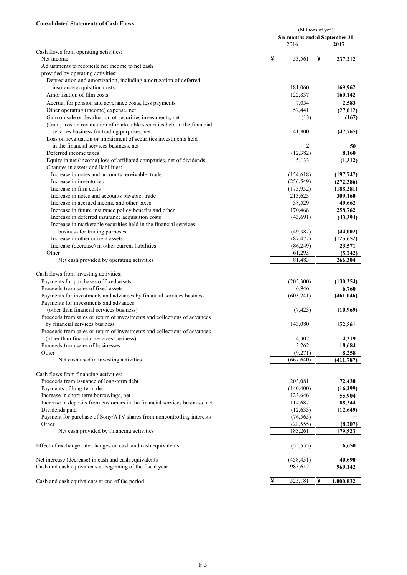#### **Consolidated Statements of Cash Flows**

|                                                                             |   | (Millions of yen)             |   |            |  |  |
|-----------------------------------------------------------------------------|---|-------------------------------|---|------------|--|--|
|                                                                             |   | Six months ended September 30 |   |            |  |  |
| Cash flows from operating activities:                                       |   | 2016                          |   | 2017       |  |  |
| Net income                                                                  | ¥ | 53,561                        | ¥ | 237,212    |  |  |
| Adjustments to reconcile net income to net cash                             |   |                               |   |            |  |  |
| provided by operating activities:                                           |   |                               |   |            |  |  |
| Depreciation and amortization, including amortization of deferred           |   |                               |   |            |  |  |
| insurance acquisition costs                                                 |   | 181,060                       |   | 169,962    |  |  |
| Amortization of film costs                                                  |   | 122,837                       |   | 160,142    |  |  |
| Accrual for pension and severance costs, less payments                      |   | 7,054                         |   | 2,583      |  |  |
| Other operating (income) expense, net                                       |   | 52,441                        |   | (27, 012)  |  |  |
| Gain on sale or devaluation of securities investments, net                  |   | (13)                          |   | (167)      |  |  |
| (Gain) loss on revaluation of marketable securities held in the financial   |   |                               |   |            |  |  |
| services business for trading purposes, net                                 |   | 41,800                        |   | (47, 765)  |  |  |
| Loss on revaluation or impairment of securities investments held            |   |                               |   |            |  |  |
| in the financial services business, net                                     |   | $\overline{2}$                |   | 50         |  |  |
| Deferred income taxes                                                       |   | (12, 382)                     |   | 8,160      |  |  |
| Equity in net (income) loss of affiliated companies, net of dividends       |   | 5,133                         |   | (1,312)    |  |  |
| Changes in assets and liabilities:                                          |   |                               |   |            |  |  |
| Increase in notes and accounts receivable, trade                            |   | (154, 618)                    |   | (197, 747) |  |  |
| Increase in inventories                                                     |   | (256, 549)                    |   | (272, 386) |  |  |
| Increase in film costs                                                      |   | (175, 952)                    |   | (188, 281) |  |  |
| Increase in notes and accounts payable, trade                               |   | 213,623                       |   | 309,160    |  |  |
| Increase in accrued income and other taxes                                  |   | 38,529                        |   | 49,662     |  |  |
| Increase in future insurance policy benefits and other                      |   | 170,468                       |   | 258,762    |  |  |
| Increase in deferred insurance acquisition costs                            |   | (43,691)                      |   | (43,394)   |  |  |
| Increase in marketable securities held in the financial services            |   |                               |   |            |  |  |
| business for trading purposes                                               |   | (49, 387)                     |   | (44,002)   |  |  |
| Increase in other current assets                                            |   | (87, 477)                     |   | (125, 652) |  |  |
| Increase (decrease) in other current liabilities                            |   | (86,249)                      |   | 23,571     |  |  |
| Other                                                                       |   | 61,293                        |   | (5,242)    |  |  |
| Net cash provided by operating activities                                   |   | 81,483                        |   | 266,304    |  |  |
| Cash flows from investing activities:                                       |   |                               |   |            |  |  |
| Payments for purchases of fixed assets                                      |   | (205,300)                     |   | (130, 254) |  |  |
| Proceeds from sales of fixed assets                                         |   | 6,946                         |   | 6,760      |  |  |
| Payments for investments and advances by financial services business        |   | (603, 241)                    |   | (461, 046) |  |  |
| Payments for investments and advances                                       |   |                               |   |            |  |  |
| (other than financial services business)                                    |   | (7, 423)                      |   | (10,969)   |  |  |
| Proceeds from sales or return of investments and collections of advances    |   |                               |   |            |  |  |
| by financial services business                                              |   | 143,080                       |   | 152,561    |  |  |
| Proceeds from sales or return of investments and collections of advances    |   |                               |   |            |  |  |
| (other than financial services business)                                    |   | 4,307                         |   | 4,219      |  |  |
| Proceeds from sales of businesses                                           |   | 3,262                         |   | 18,684     |  |  |
| Other                                                                       |   | (9,271)                       |   | 8,258      |  |  |
| Net cash used in investing activities                                       |   | (667, 640)                    |   | (411, 787) |  |  |
|                                                                             |   |                               |   |            |  |  |
| Cash flows from financing activities:                                       |   |                               |   |            |  |  |
| Proceeds from issuance of long-term debt                                    |   | 203,081                       |   | 72,430     |  |  |
| Payments of long-term debt                                                  |   | (140, 400)                    |   | (16,299)   |  |  |
| Increase in short-term borrowings, net                                      |   | 123,646                       |   | 55,904     |  |  |
| Increase in deposits from customers in the financial services business, net |   | 114,687                       |   | 88,344     |  |  |
| Dividends paid                                                              |   | (12, 633)                     |   | (12,649)   |  |  |
| Payment for purchase of Sony/ATV shares from noncontrolling interests       |   | (76, 565)                     |   |            |  |  |
| Other                                                                       |   | (28, 555)                     |   | (8,207)    |  |  |
| Net cash provided by financing activities                                   |   | 183,261                       |   | 179,523    |  |  |
| Effect of exchange rate changes on cash and cash equivalents                |   | (55, 535)                     |   | 6,650      |  |  |
| Net increase (decrease) in cash and cash equivalents                        |   | (458, 431)                    |   | 40,690     |  |  |
| Cash and cash equivalents at beginning of the fiscal year                   |   | 983,612                       |   | 960,142    |  |  |
|                                                                             |   |                               |   |            |  |  |
| Cash and cash equivalents at end of the period                              | ¥ | 525,181                       | ¥ | 1,000,832  |  |  |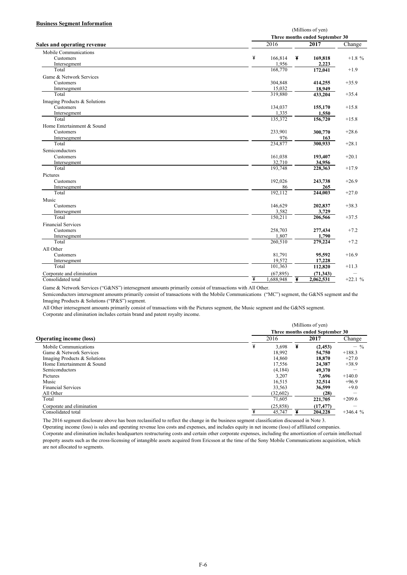#### **Business Segment Information**

|                                    |                  | (Millions of yen)               |           |  |  |  |  |
|------------------------------------|------------------|---------------------------------|-----------|--|--|--|--|
|                                    |                  | Three months ended September 30 |           |  |  |  |  |
| <b>Sales and operating revenue</b> | 2016             | 2017                            | Change    |  |  |  |  |
| Mobile Communications              |                  |                                 |           |  |  |  |  |
| Customers                          | ¥<br>166,814     | ¥<br>169,818                    | $+1.8 \%$ |  |  |  |  |
| Intersegment                       | 1,956            | 2,223                           |           |  |  |  |  |
| Total                              | 168,770          | 172,041                         | $+1.9$    |  |  |  |  |
| Game & Network Services            |                  |                                 |           |  |  |  |  |
| <b>Customers</b>                   | 304,848          | 414,255                         | $+35.9$   |  |  |  |  |
| Intersegment                       | 15,032           | 18,949                          |           |  |  |  |  |
| Total                              | 319,880          | 433,204                         | $+35.4$   |  |  |  |  |
| Imaging Products & Solutions       |                  |                                 |           |  |  |  |  |
| Customers                          | 134,037          | 155,170                         | $+15.8$   |  |  |  |  |
| Intersegment                       | 1,335            | 1,550                           |           |  |  |  |  |
| Total                              | 135,372          | 156,720                         | $+15.8$   |  |  |  |  |
| Home Entertainment & Sound         |                  |                                 |           |  |  |  |  |
| Customers                          | 233,901          | 300,770                         | $+28.6$   |  |  |  |  |
| Intersegment                       | 976              | 163                             |           |  |  |  |  |
| Total                              | 234,877          | 300,933                         | $+28.1$   |  |  |  |  |
| Semiconductors                     |                  |                                 |           |  |  |  |  |
| Customers                          | 161,038          | 193,407                         | $+20.1$   |  |  |  |  |
| Intersegment                       | 32,710           | 34,956                          |           |  |  |  |  |
| Total                              | 193,748          | 228,363                         | $+17.9$   |  |  |  |  |
| Pictures                           |                  |                                 |           |  |  |  |  |
| Customers                          | 192,026          | 243,738                         | $+26.9$   |  |  |  |  |
| Intersegment                       | 86               | 265                             |           |  |  |  |  |
| Total                              | 192,112          | 244,003                         | $+27.0$   |  |  |  |  |
|                                    |                  |                                 |           |  |  |  |  |
| Music<br>Customers                 |                  |                                 |           |  |  |  |  |
|                                    | 146,629<br>3,582 | 202,837                         | $+38.3$   |  |  |  |  |
| Intersegment<br>Total              | 150,211          | 3,729<br>206,566                | $+37.5$   |  |  |  |  |
|                                    |                  |                                 |           |  |  |  |  |
| <b>Financial Services</b>          |                  |                                 |           |  |  |  |  |
| Customers                          | 258,703          | 277,434                         | $+7.2$    |  |  |  |  |
| Intersegment                       | 1,807            | 1.790                           |           |  |  |  |  |
| Total                              | 260,510          | 279,224                         | $+7.2$    |  |  |  |  |
| All Other                          |                  |                                 |           |  |  |  |  |
| Customers                          | 81,791           | 95,592                          | $+16.9$   |  |  |  |  |
| Intersegment                       | 19.572           | 17,228                          |           |  |  |  |  |
| Total                              | 101,363          | 112,820                         | $+11.3$   |  |  |  |  |
| Corporate and elimination          | (67, 895)        | (71, 343)                       |           |  |  |  |  |
| Consolidated total                 | ¥<br>.688.948    | ¥<br>2,062,531                  | $+22.1%$  |  |  |  |  |

Game & Network Services ("G&NS") intersegment amounts primarily consist of transactions with All Other.

Semiconductors intersegment amounts primarily consist of transactions with the Mobile Communications ("MC") segment, the G&NS segment and the Imaging Products & Solutions ("IP&S") segment.

All Other intersegment amounts primarily consist of transactions with the Pictures segment, the Music segment and the G&NS segment. Corporate and elimination includes certain brand and patent royalty income.

|                                |                                 | (Millions of yen) |           |           |  |  |  |  |
|--------------------------------|---------------------------------|-------------------|-----------|-----------|--|--|--|--|
| <b>Operating income (loss)</b> | Three months ended September 30 |                   |           |           |  |  |  |  |
|                                | 2016                            |                   | 2017      | Change    |  |  |  |  |
| Mobile Communications          | ¥                               | 3,698<br>¥        | (2, 453)  | $-$ %     |  |  |  |  |
| Game & Network Services        |                                 | 18.992            | 54,750    | $+188.3$  |  |  |  |  |
| Imaging Products & Solutions   |                                 | 14.860            | 18,870    | $+27.0$   |  |  |  |  |
| Home Entertainment & Sound     |                                 | 17,556            | 24,387    | $+38.9$   |  |  |  |  |
| Semiconductors                 |                                 | (4,184)           | 49,370    |           |  |  |  |  |
| Pictures                       |                                 | 3.207             | 7.696     | $+140.0$  |  |  |  |  |
| Music                          |                                 | 16,515            | 32,514    | $+96.9$   |  |  |  |  |
| <b>Financial Services</b>      |                                 | 33,563            | 36,599    | $+9.0$    |  |  |  |  |
| All Other                      |                                 | (32,602)          | (28)      |           |  |  |  |  |
| Total                          |                                 | 71.605            | 221,705   | $+209.6$  |  |  |  |  |
| Corporate and elimination      |                                 | (25, 858)         | (17, 477) |           |  |  |  |  |
| Consolidated total             |                                 | 45,747            | 204.228   | $+346.4%$ |  |  |  |  |

The 2016 segment disclosure above has been reclassified to reflect the change in the business segment classification discussed in Note 3.

Operating income (loss) is sales and operating revenue less costs and expenses, and includes equity in net income (loss) of affiliated companies. Corporate and elimination includes headquarters restructuring costs and certain other corporate expenses, including the amortization of certain intellectual property assets such as the cross-licensing of intangible assets acquired from Ericsson at the time of the Sony Mobile Communications acquisition, which are not allocated to segments.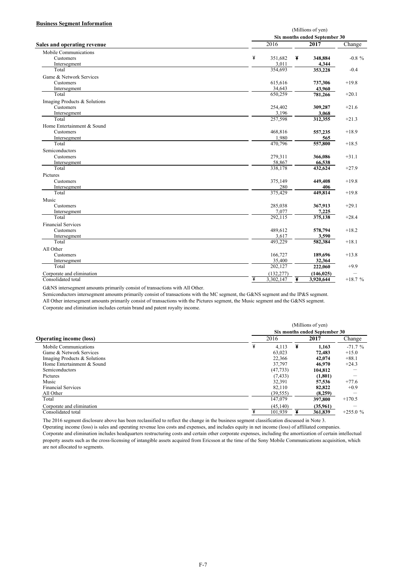#### **Business Segment Information**

|                                    |                   | (Millions of yen)             |                   |           |  |  |  |
|------------------------------------|-------------------|-------------------------------|-------------------|-----------|--|--|--|
|                                    |                   | Six months ended September 30 |                   |           |  |  |  |
| <b>Sales and operating revenue</b> | $\overline{2016}$ |                               | $\sqrt{2017}$     | Change    |  |  |  |
| Mobile Communications              |                   |                               |                   |           |  |  |  |
| <b>Customers</b>                   | ¥<br>351,682      | ¥                             | 348,884           | $-0.8 \%$ |  |  |  |
| Intersegment                       | 3,011             |                               | 4,344             |           |  |  |  |
| Total                              | 354,693           |                               | 353,228           | $-0.4$    |  |  |  |
| Game & Network Services            |                   |                               |                   |           |  |  |  |
| Customers                          | 615,616           |                               | 737,306           | $+19.8$   |  |  |  |
| Intersegment                       | 34,643            |                               | 43,960            |           |  |  |  |
| Total                              | 650.259           |                               | 781,266           | $+20.1$   |  |  |  |
| Imaging Products & Solutions       |                   |                               |                   |           |  |  |  |
| Customers                          | 254,402           |                               | 309,287           | $+21.6$   |  |  |  |
| Intersegment                       | 3,196             |                               | 3,068             |           |  |  |  |
| Total                              | 257,598           |                               | 312,355           | $+21.3$   |  |  |  |
| Home Entertainment & Sound         |                   |                               |                   |           |  |  |  |
| Customers                          | 468,816           |                               | 557,235           | $+18.9$   |  |  |  |
| Intersegment                       | 1,980             |                               | 565               |           |  |  |  |
| Total                              | 470,796           |                               | 557,800           | $+18.5$   |  |  |  |
| Semiconductors                     |                   |                               |                   |           |  |  |  |
| Customers                          | 279,311           |                               |                   | $+31.1$   |  |  |  |
|                                    | 58,867            |                               | 366,086           |           |  |  |  |
| Intersegment<br>Total              | 338,178           |                               | 66,538<br>432,624 | $+27.9$   |  |  |  |
|                                    |                   |                               |                   |           |  |  |  |
| Pictures                           |                   |                               |                   |           |  |  |  |
| Customers                          | 375,149           |                               | 449,408           | $+19.8$   |  |  |  |
| Intersegment                       | 280               |                               | 406               |           |  |  |  |
| Total                              | 375,429           |                               | 449,814           | $+19.8$   |  |  |  |
| Music                              |                   |                               |                   |           |  |  |  |
| Customers                          | 285,038           |                               | 367,913           | $+29.1$   |  |  |  |
| Intersegment                       | 7,077             |                               | 7,225             |           |  |  |  |
| Total                              | 292,115           |                               | 375,138           | $+28.4$   |  |  |  |
| <b>Financial Services</b>          |                   |                               |                   |           |  |  |  |
| Customers                          | 489,612           |                               | 578,794           | $+18.2$   |  |  |  |
| Intersegment                       | 3,617             |                               | 3,590             |           |  |  |  |
| Total                              | 493,229           |                               | 582,384           | $+18.1$   |  |  |  |
| All Other                          |                   |                               |                   |           |  |  |  |
| Customers                          | 166,727           |                               | 189,696           | $+13.8$   |  |  |  |
| Intersegment                       | 35,400            |                               | 32,364            |           |  |  |  |
| Total                              | 202,127           |                               | 222,060           | $+9.9$    |  |  |  |
| Corporate and elimination          | (132, 277)        |                               | (146, 025)        |           |  |  |  |
| Consolidated total                 | ¥<br>3,302,147    | ¥                             | 3,920,644         | $+18.7%$  |  |  |  |

G&NS intersegment amounts primarily consist of transactions with All Other.

Semiconductors intersegment amounts primarily consist of transactions with the MC segment, the G&NS segment and the IP&S segment. All Other intersegment amounts primarily consist of transactions with the Pictures segment, the Music segment and the G&NS segment. Corporate and elimination includes certain brand and patent royalty income.

|                                | (Millions of yen)<br>Six months ended September 30 |           |   |          |           |  |  |
|--------------------------------|----------------------------------------------------|-----------|---|----------|-----------|--|--|
|                                |                                                    |           |   |          |           |  |  |
| <b>Operating income (loss)</b> |                                                    | 2016      |   | 2017     | Change    |  |  |
| Mobile Communications          | ¥                                                  | 4.113     | ¥ | 1.163    | $-71.7%$  |  |  |
| Game & Network Services        |                                                    | 63.023    |   | 72,483   | $+15.0$   |  |  |
| Imaging Products & Solutions   |                                                    | 22.366    |   | 42,074   | $+88.1$   |  |  |
| Home Entertainment & Sound     |                                                    | 37,797    |   | 46.970   | $+24.3$   |  |  |
| Semiconductors                 |                                                    | (47, 733) |   | 104.812  |           |  |  |
| Pictures                       |                                                    | (7, 433)  |   | (1,801)  |           |  |  |
| Music                          |                                                    | 32,391    |   | 57,536   | $+77.6$   |  |  |
| <b>Financial Services</b>      |                                                    | 82.110    |   | 82,822   | $+0.9$    |  |  |
| All Other                      |                                                    | (39, 555) |   | (8,259)  |           |  |  |
| Total                          |                                                    | 147.079   |   | 397,800  | $+170.5$  |  |  |
| Corporate and elimination      |                                                    | (45, 140) |   | (35,961) |           |  |  |
| Consolidated total             |                                                    | 101.939   |   | 361.839  | $+255.0%$ |  |  |

The 2016 segment disclosure above has been reclassified to reflect the change in the business segment classification discussed in Note 3.

Operating income (loss) is sales and operating revenue less costs and expenses, and includes equity in net income (loss) of affiliated companies. Corporate and elimination includes headquarters restructuring costs and certain other corporate expenses, including the amortization of certain intellectual property assets such as the cross-licensing of intangible assets acquired from Ericsson at the time of the Sony Mobile Communications acquisition, which are not allocated to segments.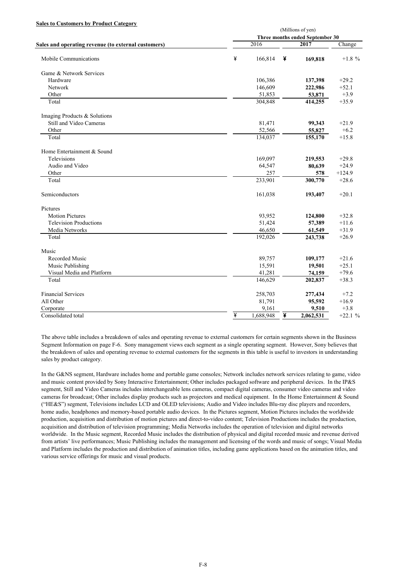#### **Sales to Customers by Product Category**

|                                                     |   | (Millions of yen)<br>Three months ended September 30 |   |               |           |  |  |  |
|-----------------------------------------------------|---|------------------------------------------------------|---|---------------|-----------|--|--|--|
| Sales and operating revenue (to external customers) |   | 2016                                                 |   | $\sqrt{2017}$ | Change    |  |  |  |
|                                                     |   |                                                      |   |               |           |  |  |  |
| Mobile Communications                               | ¥ | 166,814                                              | ¥ | 169,818       | $+1.8 \%$ |  |  |  |
| Game & Network Services                             |   |                                                      |   |               |           |  |  |  |
| Hardware                                            |   | 106,386                                              |   | 137,398       | $+29.2$   |  |  |  |
| Network                                             |   | 146,609                                              |   | 222,986       | $+52.1$   |  |  |  |
| Other                                               |   | 51,853                                               |   | 53,871        | $+3.9$    |  |  |  |
| Total                                               |   | 304,848                                              |   | 414,255       | $+35.9$   |  |  |  |
| Imaging Products & Solutions                        |   |                                                      |   |               |           |  |  |  |
| Still and Video Cameras                             |   | 81,471                                               |   | 99,343        | $+21.9$   |  |  |  |
| Other                                               |   | 52,566                                               |   | 55,827        | $+6.2$    |  |  |  |
| Total                                               |   | 134,037                                              |   | 155,170       | $+15.8$   |  |  |  |
| Home Entertainment & Sound                          |   |                                                      |   |               |           |  |  |  |
| Televisions                                         |   | 169,097                                              |   | 219,553       | $+29.8$   |  |  |  |
| Audio and Video                                     |   | 64,547                                               |   | 80,639        | $+24.9$   |  |  |  |
| Other                                               |   | 257                                                  |   | 578           | $+124.9$  |  |  |  |
| Total                                               |   | 233,901                                              |   | 300,770       | $+28.6$   |  |  |  |
| Semiconductors                                      |   | 161,038                                              |   | 193,407       | $+20.1$   |  |  |  |
| Pictures                                            |   |                                                      |   |               |           |  |  |  |
| <b>Motion Pictures</b>                              |   | 93,952                                               |   | 124,800       | $+32.8$   |  |  |  |
| <b>Television Productions</b>                       |   | 51,424                                               |   | 57,389        | $+11.6$   |  |  |  |
| Media Networks                                      |   | 46,650                                               |   | 61,549        | $+31.9$   |  |  |  |
| Total                                               |   | 192,026                                              |   | 243,738       | $+26.9$   |  |  |  |
| Music                                               |   |                                                      |   |               |           |  |  |  |
| Recorded Music                                      |   | 89,757                                               |   | 109,177       | $+21.6$   |  |  |  |
| Music Publishing                                    |   | 15,591                                               |   | 19,501        | $+25.1$   |  |  |  |
| Visual Media and Platform                           |   | 41,281                                               |   | 74,159        | $+79.6$   |  |  |  |
| Total                                               |   | 146,629                                              |   | 202,837       | $+38.3$   |  |  |  |
| <b>Financial Services</b>                           |   | 258,703                                              |   | 277,434       | $+7.2$    |  |  |  |
| All Other                                           |   | 81,791                                               |   | 95,592        | $+16.9$   |  |  |  |
| Corporate                                           |   | 9,161                                                |   | 9,510         | $+3.8$    |  |  |  |
| Consolidated total                                  | ¥ | 1,688,948                                            | ¥ | 2,062,531     | $+22.1%$  |  |  |  |

The above table includes a breakdown of sales and operating revenue to external customers for certain segments shown in the Business Segment Information on page F-6. Sony management views each segment as a single operating segment. However, Sony believes that the breakdown of sales and operating revenue to external customers for the segments in this table is useful to investors in understanding sales by product category.

In the G&NS segment, Hardware includes home and portable game consoles; Network includes network services relating to game, video and music content provided by Sony Interactive Entertainment; Other includes packaged software and peripheral devices. In the IP&S segment, Still and Video Cameras includes interchangeable lens cameras, compact digital cameras, consumer video cameras and video cameras for broadcast; Other includes display products such as projectors and medical equipment. In the Home Entertainment & Sound ("HE&S") segment, Televisions includes LCD and OLED televisions; Audio and Video includes Blu-ray disc players and recorders, home audio, headphones and memory-based portable audio devices. In the Pictures segment, Motion Pictures includes the worldwide production, acquisition and distribution of motion pictures and direct-to-video content; Television Productions includes the production, acquisition and distribution of television programming; Media Networks includes the operation of television and digital networks worldwide. In the Music segment, Recorded Music includes the distribution of physical and digital recorded music and revenue derived from artists' live performances; Music Publishing includes the management and licensing of the words and music of songs; Visual Media and Platform includes the production and distribution of animation titles, including game applications based on the animation titles, and various service offerings for music and visual products.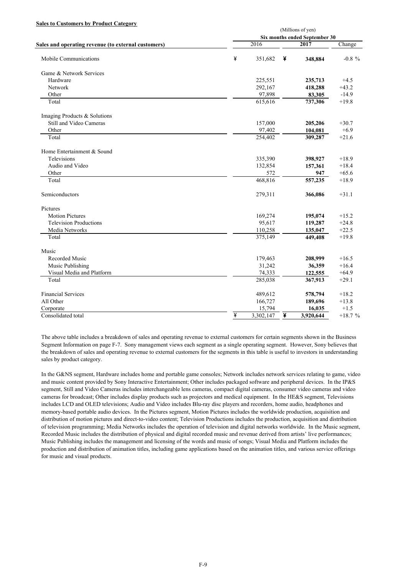#### **Sales to Customers by Product Category**

|                                                     |   | (Millions of yen)             |   |           |           |  |  |  |
|-----------------------------------------------------|---|-------------------------------|---|-----------|-----------|--|--|--|
|                                                     |   | Six months ended September 30 |   |           |           |  |  |  |
| Sales and operating revenue (to external customers) |   | 2016                          |   | 2017      | Change    |  |  |  |
| Mobile Communications                               | ¥ | 351,682                       | ¥ | 348,884   | $-0.8 \%$ |  |  |  |
| Game & Network Services                             |   |                               |   |           |           |  |  |  |
| Hardware                                            |   | 225,551                       |   | 235,713   | $+4.5$    |  |  |  |
| Network                                             |   | 292,167                       |   | 418,288   | $+43.2$   |  |  |  |
| Other                                               |   | 97,898                        |   | 83,305    | $-14.9$   |  |  |  |
| Total                                               |   | 615,616                       |   | 737,306   | $+19.8$   |  |  |  |
| Imaging Products & Solutions                        |   |                               |   |           |           |  |  |  |
| Still and Video Cameras                             |   | 157,000                       |   | 205,206   | $+30.7$   |  |  |  |
| Other                                               |   | 97,402                        |   | 104,081   | $+6.9$    |  |  |  |
| Total                                               |   | 254,402                       |   | 309,287   | $+21.6$   |  |  |  |
| Home Entertainment & Sound                          |   |                               |   |           |           |  |  |  |
| Televisions                                         |   | 335,390                       |   | 398,927   | $+18.9$   |  |  |  |
| Audio and Video                                     |   | 132,854                       |   | 157,361   | $+18.4$   |  |  |  |
| Other                                               |   | 572                           |   | 947       | $+65.6$   |  |  |  |
| Total                                               |   | 468,816                       |   | 557,235   | $+18.9$   |  |  |  |
| Semiconductors                                      |   | 279,311                       |   | 366,086   | $+31.1$   |  |  |  |
| Pictures                                            |   |                               |   |           |           |  |  |  |
| <b>Motion Pictures</b>                              |   | 169,274                       |   | 195,074   | $+15.2$   |  |  |  |
| <b>Television Productions</b>                       |   | 95,617                        |   | 119,287   | $+24.8$   |  |  |  |
| Media Networks                                      |   | 110,258                       |   | 135,047   | $+22.5$   |  |  |  |
| Total                                               |   | 375,149                       |   | 449,408   | $+19.8$   |  |  |  |
| Music                                               |   |                               |   |           |           |  |  |  |
| <b>Recorded Music</b>                               |   | 179,463                       |   | 208,999   | $+16.5$   |  |  |  |
| Music Publishing                                    |   | 31,242                        |   | 36,359    | $+16.4$   |  |  |  |
| Visual Media and Platform                           |   | 74,333                        |   | 122,555   | $+64.9$   |  |  |  |
| Total                                               |   | $\overline{285,}038$          |   | 367,913   | $+29.1$   |  |  |  |
| <b>Financial Services</b>                           |   | 489,612                       |   | 578,794   | $+18.2$   |  |  |  |
| All Other                                           |   | 166,727                       |   | 189,696   | $+13.8$   |  |  |  |
| Corporate                                           |   | 15,794                        |   | 16,035    | $+1.5$    |  |  |  |
| Consolidated total                                  | ¥ | $\overline{3,302,147}$        | ¥ | 3,920,644 | $+18.7%$  |  |  |  |

The above table includes a breakdown of sales and operating revenue to external customers for certain segments shown in the Business Segment Information on page F-7. Sony management views each segment as a single operating segment. However, Sony believes that the breakdown of sales and operating revenue to external customers for the segments in this table is useful to investors in understanding sales by product category.

In the G&NS segment, Hardware includes home and portable game consoles; Network includes network services relating to game, video and music content provided by Sony Interactive Entertainment; Other includes packaged software and peripheral devices. In the IP&S segment, Still and Video Cameras includes interchangeable lens cameras, compact digital cameras, consumer video cameras and video cameras for broadcast; Other includes display products such as projectors and medical equipment. In the HE&S segment, Televisions includes LCD and OLED televisions; Audio and Video includes Blu-ray disc players and recorders, home audio, headphones and memory-based portable audio devices. In the Pictures segment, Motion Pictures includes the worldwide production, acquisition and distribution of motion pictures and direct-to-video content; Television Productions includes the production, acquisition and distribution of television programming; Media Networks includes the operation of television and digital networks worldwide. In the Music segment, Recorded Music includes the distribution of physical and digital recorded music and revenue derived from artists' live performances; Music Publishing includes the management and licensing of the words and music of songs; Visual Media and Platform includes the production and distribution of animation titles, including game applications based on the animation titles, and various service offerings for music and visual products.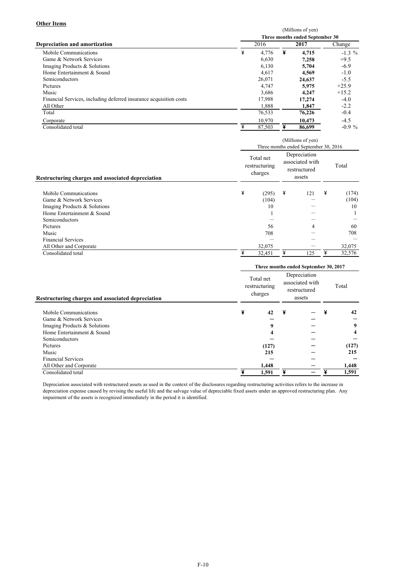#### **Other Items**

|                                                                    | (Millions of yen)<br>Three months ended September 30 |        |   |                   |           |  |  |  |
|--------------------------------------------------------------------|------------------------------------------------------|--------|---|-------------------|-----------|--|--|--|
|                                                                    |                                                      |        |   |                   |           |  |  |  |
| Depreciation and amortization                                      |                                                      | 2016   |   | 2017              | Change    |  |  |  |
| Mobile Communications                                              | ¥                                                    | 4,776  | ¥ | 4,715             | $-1.3 \%$ |  |  |  |
| Game & Network Services                                            |                                                      | 6,630  |   | 7,258             | $+9.5$    |  |  |  |
| Imaging Products & Solutions                                       |                                                      | 6,130  |   | 5,704             | $-6.9$    |  |  |  |
| Home Entertainment & Sound                                         |                                                      | 4,617  |   | 4.569             | $-1.0$    |  |  |  |
| Semiconductors                                                     |                                                      | 26,071 |   | 24,637            | $-5.5$    |  |  |  |
| Pictures                                                           |                                                      | 4,747  |   | 5,975             | $+25.9$   |  |  |  |
| Music                                                              |                                                      | 3,686  |   | 4,247             | $+15.2$   |  |  |  |
| Financial Services, including deferred insurance acquisition costs |                                                      | 17,988 |   | 17,274            | $-4.0$    |  |  |  |
| All Other                                                          |                                                      | 1,888  |   | 1,847             | $-2.2$    |  |  |  |
| Total                                                              |                                                      | 76,533 |   | 76,226            | $-0.4$    |  |  |  |
| Corporate                                                          |                                                      | 10,970 |   | 10,473            | $-4.5$    |  |  |  |
| Consolidated total                                                 |                                                      | 87,503 |   | 86,699            | $-0.9%$   |  |  |  |
|                                                                    |                                                      |        |   | (Millions of yen) |           |  |  |  |

|                                                                                                                                                                                                                                     | $\frac{1}{1}$<br>Three months ended September 30, 2016 |                                                       |        |                                                           |        |                                                       |  |  |  |
|-------------------------------------------------------------------------------------------------------------------------------------------------------------------------------------------------------------------------------------|--------------------------------------------------------|-------------------------------------------------------|--------|-----------------------------------------------------------|--------|-------------------------------------------------------|--|--|--|
| Restructuring charges and associated depreciation                                                                                                                                                                                   |                                                        | Total net<br>restructuring<br>charges                 |        | Depreciation<br>associated with<br>restructured<br>assets |        | Total                                                 |  |  |  |
| Mobile Communications<br>Game & Network Services<br>Imaging Products & Solutions<br>Home Entertainment & Sound<br>Semiconductors<br>Pictures<br>Music<br><b>Financial Services</b><br>All Other and Corporate<br>Consolidated total | ¥<br>¥                                                 | (295)<br>(104)<br>10<br>56<br>708<br>32,075<br>32,451 | ¥<br>¥ | 121<br>4<br>125                                           | ¥<br>¥ | (174)<br>(104)<br>10<br>60<br>708<br>32,075<br>32,576 |  |  |  |
|                                                                                                                                                                                                                                     | Three months ended September 30, 2017                  |                                                       |        |                                                           |        |                                                       |  |  |  |
| Restructuring charges and associated depreciation                                                                                                                                                                                   |                                                        | Total net<br>restructuring<br>charges                 |        | Depreciation<br>associated with<br>restructured<br>assets |        | Total                                                 |  |  |  |
| Mobile Communications                                                                                                                                                                                                               | ¥                                                      | 42                                                    | ¥      |                                                           | ¥      | 42                                                    |  |  |  |
| Game & Network Services<br>Imaging Products & Solutions                                                                                                                                                                             |                                                        | $\bf o$                                               |        |                                                           |        | 9                                                     |  |  |  |
|                                                                                                                                                                                                                                     |                                                        |                                                       |        |                                                           |        |                                                       |  |  |  |

**Imag** Products  $\&$  Solutions **9** Home Entertainment & Sound **4** Semiconductors<br>Pictures Pictures **(127)** - Music **215** - Pictures (127)  $-$ <br>
Music 215  $-$ <br>
Financial Services  $-$ All Other and Corporate **1,448** - Consolidated total \ **1,591** \ - \ - **1,591 (127) 215**  - **1,448 9 4** 

Depreciation associated with restructured assets as used in the context of the disclosures regarding restructuring activities refers to the increase in depreciation expense caused by revising the useful life and the salvage value of depreciable fixed assets under an approved restructuring plan. Any impairment of the assets is recognized immediately in the period it is identified.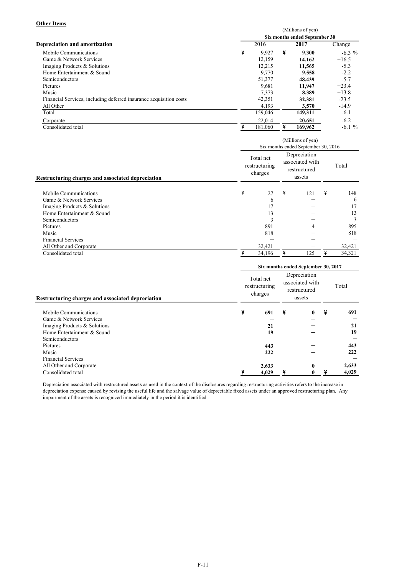## **Other Items**

|                                                                    |   | (Millions of yen)             |   |         |           |  |  |  |  |
|--------------------------------------------------------------------|---|-------------------------------|---|---------|-----------|--|--|--|--|
|                                                                    |   | Six months ended September 30 |   |         |           |  |  |  |  |
| <b>Depreciation and amortization</b>                               |   | 2016                          |   | 2017    | Change    |  |  |  |  |
| Mobile Communications                                              | ¥ | 9,927                         | ¥ | 9,300   | $-6.3 \%$ |  |  |  |  |
| Game & Network Services                                            |   | 12,159                        |   | 14.162  | $+16.5$   |  |  |  |  |
| Imaging Products & Solutions                                       |   | 12.215                        |   | 11,565  | $-5.3$    |  |  |  |  |
| Home Entertainment & Sound                                         |   | 9,770                         |   | 9.558   | $-2.2$    |  |  |  |  |
| Semiconductors                                                     |   | 51,377                        |   | 48.439  | $-5.7$    |  |  |  |  |
| Pictures                                                           |   | 9,681                         |   | 11.947  | $+23.4$   |  |  |  |  |
| Music                                                              |   | 7,373                         |   | 8.389   | $+13.8$   |  |  |  |  |
| Financial Services, including deferred insurance acquisition costs |   | 42,351                        |   | 32,381  | $-23.5$   |  |  |  |  |
| All Other                                                          |   | 4,193                         |   | 3,570   | $-14.9$   |  |  |  |  |
| Total                                                              |   | 159,046                       |   | 149,311 | $-6.1$    |  |  |  |  |
| Corporate                                                          |   | 22.014                        |   | 20.651  | $-6.2$    |  |  |  |  |
| Consolidated total                                                 | ¥ | 181.060                       |   | 169,962 | $-6.1%$   |  |  |  |  |

|                                                                                                                                                                                                                                     | (Millions of yen)                     |                                                            |                                                           |                 |        |                                                             |  |  |  |
|-------------------------------------------------------------------------------------------------------------------------------------------------------------------------------------------------------------------------------------|---------------------------------------|------------------------------------------------------------|-----------------------------------------------------------|-----------------|--------|-------------------------------------------------------------|--|--|--|
|                                                                                                                                                                                                                                     | Six months ended September 30, 2016   |                                                            |                                                           |                 |        |                                                             |  |  |  |
| Restructuring charges and associated depreciation                                                                                                                                                                                   | Total net<br>restructuring<br>charges |                                                            | Depreciation<br>associated with<br>restructured<br>assets |                 | Total  |                                                             |  |  |  |
| Mobile Communications<br>Game & Network Services<br>Imaging Products & Solutions<br>Home Entertainment & Sound<br>Semiconductors<br>Pictures<br>Music<br><b>Financial Services</b><br>All Other and Corporate<br>Consolidated total | ¥<br>¥                                | 27<br>6<br>17<br>13<br>3<br>891<br>818<br>32,421<br>34,196 | ¥<br>¥                                                    | 121<br>4<br>125 | ¥<br>¥ | 148<br>6<br>17<br>13<br>3<br>895<br>818<br>32,421<br>34,321 |  |  |  |
|                                                                                                                                                                                                                                     |                                       |                                                            |                                                           |                 |        |                                                             |  |  |  |
|                                                                                                                                                                                                                                     | Six months ended September 30, 2017   |                                                            |                                                           |                 |        |                                                             |  |  |  |
| Restructuring charges and associated depreciation                                                                                                                                                                                   | Total net<br>restructuring<br>charges |                                                            | Total                                                     |                 |        |                                                             |  |  |  |
| Mobile Communications                                                                                                                                                                                                               | ¥                                     | 691                                                        | ¥                                                         | 0               | ¥      | 691                                                         |  |  |  |
| Game & Network Services                                                                                                                                                                                                             |                                       |                                                            |                                                           |                 |        |                                                             |  |  |  |
| Imaging Products & Solutions                                                                                                                                                                                                        |                                       | 21                                                         |                                                           |                 |        | 21                                                          |  |  |  |
| Home Entertainment & Sound                                                                                                                                                                                                          |                                       | 19                                                         |                                                           |                 |        | 19                                                          |  |  |  |
| Semiconductors                                                                                                                                                                                                                      |                                       |                                                            |                                                           |                 |        |                                                             |  |  |  |
| Pictures                                                                                                                                                                                                                            |                                       | 443                                                        |                                                           |                 |        | 443                                                         |  |  |  |
| Music                                                                                                                                                                                                                               |                                       | 222                                                        |                                                           |                 |        | 222                                                         |  |  |  |

All Other and Corporate **2,633 0**  Consolidated total \ **4,029** \ **0** \ **2,633 4,029**  Depreciation associated with restructured assets as used in the context of the disclosures regarding restructuring activities refers to the increase in

-

depreciation expense caused by revising the useful life and the salvage value of depreciable fixed assets under an approved restructuring plan. Any impairment of the assets is recognized immediately in the period it is identified.

Financial Services - -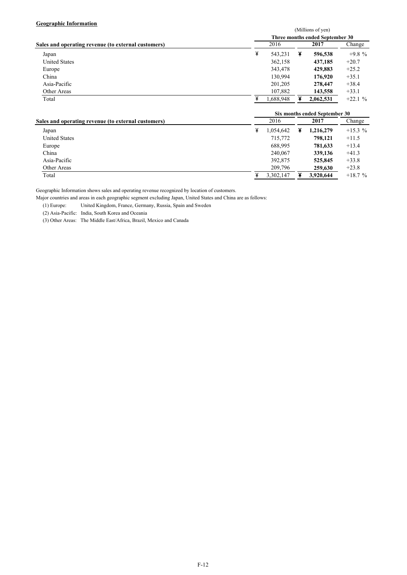### **Geographic Information**

| <b>OCO21 ADMIC THIOI MALION</b>                                                                                                                                                                                                                                                                                                             |                   |                         |   |                                 |                     |  |
|---------------------------------------------------------------------------------------------------------------------------------------------------------------------------------------------------------------------------------------------------------------------------------------------------------------------------------------------|-------------------|-------------------------|---|---------------------------------|---------------------|--|
|                                                                                                                                                                                                                                                                                                                                             | (Millions of yen) |                         |   |                                 |                     |  |
|                                                                                                                                                                                                                                                                                                                                             |                   |                         |   | Three months ended September 30 |                     |  |
| Sales and operating revenue (to external customers)                                                                                                                                                                                                                                                                                         |                   | 2016                    |   | 2017                            | Change              |  |
| Japan                                                                                                                                                                                                                                                                                                                                       | ¥                 | 543,231                 | ¥ | 596,538                         | $+9.8%$             |  |
| <b>United States</b>                                                                                                                                                                                                                                                                                                                        |                   | 362.158                 |   | 437,185                         | $+20.7$             |  |
| Europe                                                                                                                                                                                                                                                                                                                                      |                   | 343,478                 |   | 429,883                         | $+25.2$             |  |
| China                                                                                                                                                                                                                                                                                                                                       |                   | 130.994                 |   | 176,920                         | $+35.1$             |  |
| Asia-Pacific                                                                                                                                                                                                                                                                                                                                |                   | 201,205                 |   | 278,447                         | $+38.4$             |  |
| Other Areas                                                                                                                                                                                                                                                                                                                                 |                   | 107,882                 |   | 143,558                         | $+33.1$             |  |
| Total                                                                                                                                                                                                                                                                                                                                       |                   | 1,688,948               |   | 2,062,531                       | $+22.1%$            |  |
|                                                                                                                                                                                                                                                                                                                                             |                   |                         |   | Six months ended September 30   |                     |  |
| Sales and operating revenue (to external customers)                                                                                                                                                                                                                                                                                         |                   | 2016                    |   | 2017                            | Change              |  |
| Japan<br>$\mathbf{r}$ $\mathbf{r}$ $\mathbf{r}$ $\mathbf{r}$ $\mathbf{r}$ $\mathbf{r}$ $\mathbf{r}$ $\mathbf{r}$ $\mathbf{r}$ $\mathbf{r}$ $\mathbf{r}$ $\mathbf{r}$ $\mathbf{r}$ $\mathbf{r}$ $\mathbf{r}$ $\mathbf{r}$ $\mathbf{r}$ $\mathbf{r}$ $\mathbf{r}$ $\mathbf{r}$ $\mathbf{r}$ $\mathbf{r}$ $\mathbf{r}$ $\mathbf{r}$ $\mathbf{$ | ¥                 | 1.054.642<br>$-1$ $  -$ | ¥ | 1,216,279<br>-00101             | $+15.3 \%$<br>. 117 |  |

| Total                | 3,302,147 | 3,920,644 | $+18.7%$ |
|----------------------|-----------|-----------|----------|
| Other Areas          | 209.796   | 259,630   | $+23.8$  |
| Asia-Pacific         | 392,875   | 525,845   | $+33.8$  |
| China                | 240.067   | 339,136   | $+41.3$  |
| Europe               | 688.995   | 781,633   | $+13.4$  |
| <b>United States</b> | 715,772   | 798.121   | $+11.5$  |

Geographic Information shows sales and operating revenue recognized by location of customers.

Major countries and areas in each geographic segment excluding Japan, United States and China are as follows:

United Kingdom, France, Germany, Russia, Spain and Sweden

(2) Asia-Pacific: India, South Korea and Oceania

(3) Other Areas: The Middle East/Africa, Brazil, Mexico and Canada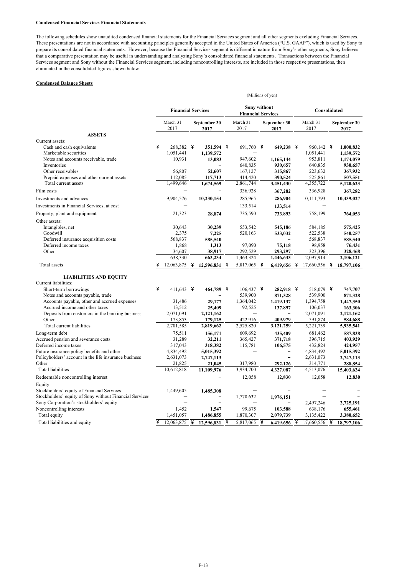#### **Condensed Financial Services Financial Statements**

The following schedules show unaudited condensed financial statements for the Financial Services segment and all other segments excluding Financial Services. These presentations are not in accordance with accounting principles generally accepted in the United States of America ("U.S. GAAP"), which is used by Sony to prepare its consolidated financial statements. However, because the Financial Services segment is different in nature from Sony's other segments, Sony believes that a comparative presentation may be useful in understanding and analyzing Sony's consolidated financial statements. Transactions between the Financial Services segment and Sony without the Financial Services segment, including noncontrolling interests, are included in those respective presentations, then eliminated in the consolidated figures shown below.

#### **Condensed Balance Sheets**

|                                                                       |   |                        |   |                           |   | (Millions of yen)    |                                           |                      |   |                        |              |                        |  |  |
|-----------------------------------------------------------------------|---|------------------------|---|---------------------------|---|----------------------|-------------------------------------------|----------------------|---|------------------------|--------------|------------------------|--|--|
|                                                                       |   |                        |   | <b>Financial Services</b> |   |                      | Sony without<br><b>Financial Services</b> |                      |   |                        | Consolidated |                        |  |  |
|                                                                       |   | March 31<br>2017       |   | September 30<br>2017      |   | March 31<br>2017     |                                           | September 30<br>2017 |   | March 31<br>2017       |              | September 30<br>2017   |  |  |
| <b>ASSETS</b>                                                         |   |                        |   |                           |   |                      |                                           |                      |   |                        |              |                        |  |  |
| Current assets:<br>Cash and cash equivalents<br>Marketable securities | ¥ | 268,382 ¥<br>1,051,441 |   | 351,594 ¥<br>1,139,572    |   | 691,760 ¥            |                                           | 649,238 ¥            |   | 960,142 ¥<br>1,051,441 |              | 1,000,832<br>1,139,572 |  |  |
| Notes and accounts receivable, trade                                  |   | 10,931                 |   | 13,083                    |   | 947,602              |                                           | 1,165,144            |   | 953,811                |              | 1,174,079              |  |  |
| Inventories                                                           |   |                        |   |                           |   | 640,835              |                                           | 930.657              |   | 640,835                |              | 930,657                |  |  |
| Other receivables                                                     |   | 56,807                 |   | 52,607                    |   | 167,127              |                                           | 315,867              |   | 223,632                |              | 367,932                |  |  |
| Prepaid expenses and other current assets                             |   | 112,085                |   | 117,713                   |   | 414,420              |                                           | 390,524              |   | 525,861                |              | 507,551                |  |  |
| Total current assets<br>Film costs                                    |   | 1,499,646              |   | 1,674,569                 |   | 2,861,744<br>336,928 |                                           | 3,451,430<br>367,282 |   | 4,355,722<br>336,928   |              | 5,120,623<br>367,282   |  |  |
|                                                                       |   |                        |   |                           |   |                      |                                           |                      |   |                        |              |                        |  |  |
| Investments and advances                                              |   | 9,904,576              |   | 10,230,154                |   | 285,965              |                                           | 286,904              |   | 10,111,793             |              | 10,439,027             |  |  |
| Investments in Financial Services, at cost                            |   |                        |   |                           |   | 133,514              |                                           | 133,514              |   |                        |              |                        |  |  |
| Property, plant and equipment                                         |   | 21,323                 |   | 28,874                    |   | 735,590              |                                           | 733,893              |   | 758,199                |              | 764,053                |  |  |
| Other assets:                                                         |   |                        |   |                           |   |                      |                                           |                      |   |                        |              |                        |  |  |
| Intangibles, net                                                      |   | 30,643                 |   | 30,239                    |   | 553,542              |                                           | 545,186              |   | 584,185                |              | 575,425                |  |  |
| Goodwill                                                              |   | 2,375                  |   | 7,225                     |   | 520,163              |                                           | 533,032              |   | 522,538                |              | 540,257                |  |  |
| Deferred insurance acquisition costs                                  |   | 568,837                |   | 585,540                   |   |                      |                                           |                      |   | 568,837                |              | 585,540                |  |  |
| Deferred income taxes                                                 |   | 1,868                  |   | 1,313                     |   | 97,090               |                                           | 75,118               |   | 98,958                 |              | 76,431                 |  |  |
| Other                                                                 |   | 34,607                 |   | 38,917                    |   | 292,529              |                                           | 293,297              |   | 323,396                |              | 328,468                |  |  |
|                                                                       |   | 638,330                |   | 663,234                   |   | 1,463,324            |                                           | 1,446,633            |   | 2,097,914              |              | 2,106,121              |  |  |
| Total assets                                                          | ¥ | 12,063,875             | ¥ | 12.596.831                | ¥ | 5,817,065            | ¥                                         | 6.419.656            | ¥ | 17,660,556             | ¥            | 18,797,106             |  |  |
| <b>LIABILITIES AND EQUITY</b>                                         |   |                        |   |                           |   |                      |                                           |                      |   |                        |              |                        |  |  |
| Current liabilities:                                                  |   |                        |   |                           |   |                      |                                           |                      |   |                        |              |                        |  |  |
| Short-term borrowings                                                 | ¥ | 411,643 ¥              |   | 464,789 ¥                 |   | $106.437$ ¥          |                                           | 282,918 ¥            |   | 518.079 ¥              |              | 747,707                |  |  |
| Notes and accounts payable, trade                                     |   |                        |   |                           |   | 539,900              |                                           | 871,328              |   | 539,900                |              | 871,328                |  |  |
| Accounts payable, other and accrued expenses                          |   | 31,486                 |   | 29.177                    |   | 1,364,042            |                                           | 1,419,137            |   | 1,394,758              |              | 1,447,350              |  |  |
| Accrued income and other taxes                                        |   | 13,512                 |   | 25,409                    |   | 92,525               |                                           | 137,897              |   | 106,037                |              | 163,306                |  |  |
| Deposits from customers in the banking business                       |   | 2,071,091              |   | 2,121,162                 |   |                      |                                           |                      |   | 2,071,091              |              | 2,121,162              |  |  |
| Other                                                                 |   | 173,853                |   | 179,125                   |   | 422,916              |                                           | 409,979              |   | 591,874                |              | 584,688                |  |  |
| Total current liabilities                                             |   | 2,701,585              |   | 2,819,662                 |   | 2,525,820            |                                           | 3,121,259            |   | 5,221,739              |              | 5,935,541              |  |  |
| Long-term debt                                                        |   | 75,511                 |   | 156,171                   |   | 609.692              |                                           | 435,409              |   | 681,462                |              | 587,838                |  |  |
| Accrued pension and severance costs                                   |   | 31,289                 |   | 32.211                    |   | 365,427              |                                           | 371,718              |   | 396,715                |              | 403.929                |  |  |
| Deferred income taxes                                                 |   | 317,043                |   | 318,382                   |   | 115,781              |                                           | 106,575              |   | 432,824                |              | 424,957                |  |  |
| Future insurance policy benefits and other                            |   | 4,834,492              |   | 5,015,392                 |   |                      |                                           |                      |   | 4,834,492              |              | 5,015,392              |  |  |
| Policyholders' account in the life insurance business                 |   | 2,631,073              |   | 2,747,113                 |   | L.                   |                                           |                      |   | 2,631,073              |              | 2,747,113              |  |  |
| Other                                                                 |   | 21,825                 |   | 21,045                    |   | 317,980              |                                           | 292,126              |   | 314,771                |              | 288,854                |  |  |
| Total liabilities                                                     |   | 10,612,818             |   | 11,109,976                |   | 3,934,700            |                                           | 4,327,087            |   | 14,513,076             |              | 15,403,624             |  |  |
| Redeemable noncontrolling interest                                    |   |                        |   |                           |   | 12,058               |                                           | 12,830               |   | 12,058                 |              | 12,830                 |  |  |
| Equity:<br>Stockholders' equity of Financial Services                 |   | 1,449,605              |   |                           |   |                      |                                           |                      |   |                        |              |                        |  |  |
| Stockholders' equity of Sony without Financial Services               |   |                        |   | 1,485,308                 |   | 1,770,632            |                                           | 1,976,151            |   |                        |              |                        |  |  |
| Sony Corporation's stockholders' equity                               |   |                        |   |                           |   |                      |                                           |                      |   | 2,497,246              |              | 2,725,191              |  |  |
| Noncontrolling interests                                              |   | 1,452                  |   | 1,547                     |   | 99,675               |                                           | 103,588              |   | 638,176                |              | 655,461                |  |  |
| Total equity                                                          |   | 1,451,057              |   | 1,486,855                 |   | 1,870,307            |                                           | 2,079,739            |   | 3,135,422              |              | 3,380,652              |  |  |
| Total liabilities and equity                                          | ¥ | 12,063,875             | ¥ | 12,596,831                | ¥ | 5,817,065            | ¥                                         | 6,419,656            | ¥ | 17,660,556             | ¥            | 18,797,106             |  |  |
|                                                                       |   |                        |   |                           |   |                      |                                           |                      |   |                        |              |                        |  |  |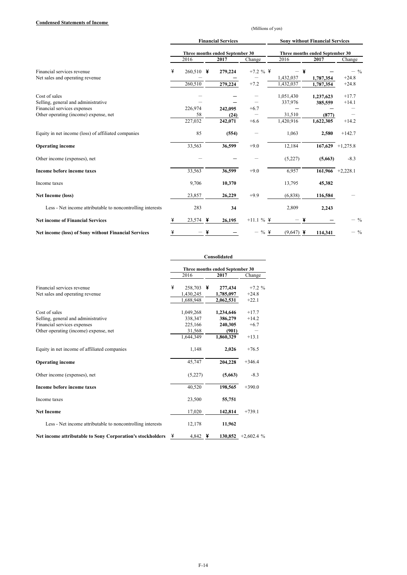#### **Condensed Statements of Income**

(Millions of yen)

|                                                                      |   |                   |   | <b>Financial Services</b>       |              | <b>Sony without Financial Services</b> |                      |                    |  |  |  |
|----------------------------------------------------------------------|---|-------------------|---|---------------------------------|--------------|----------------------------------------|----------------------|--------------------|--|--|--|
|                                                                      |   |                   |   | Three months ended September 30 |              | Three months ended September 30        |                      |                    |  |  |  |
|                                                                      |   | 2016              |   | 2017                            | Change       | 2016                                   | 2017                 | Change             |  |  |  |
| Financial services revenue<br>Net sales and operating revenue        | ¥ | 260,510           | ¥ | 279,224                         | $+7.2 \%$    | 1,432,037                              | ¥<br>1,787,354       | $-$ %<br>$+24.8$   |  |  |  |
|                                                                      |   | 260,510           |   | 279,224                         | $+7.2$       | 1,432,037                              | 1,787,354            | $+24.8$            |  |  |  |
| Cost of sales<br>Selling, general and administrative                 |   |                   |   |                                 |              | 1,051,430<br>337,976                   | 1,237,623<br>385,559 | $+17.7$<br>$+14.1$ |  |  |  |
| Financial services expenses<br>Other operating (income) expense, net |   | 226,974<br>58     |   | 242,095<br>(24)                 | $+6.7$       | 31,510                                 | (877)                |                    |  |  |  |
|                                                                      |   | 227,032           |   | 242,071                         | $+6.6$       | 1,420,916                              | 1,622,305            | $+14.2$            |  |  |  |
| Equity in net income (loss) of affiliated companies                  |   | 85                |   | (554)                           |              | 1,063                                  | 2,580                | $+142.7$           |  |  |  |
| <b>Operating income</b>                                              |   | 33,563            |   | 36,599                          | $+9.0$       | 12,184                                 |                      | $167,629$ +1,275.8 |  |  |  |
| Other income (expenses), net                                         |   |                   |   |                                 |              | (5,227)                                | (5,663)              | $-8.3$             |  |  |  |
| Income before income taxes                                           |   | 33,563            |   | 36,599                          | $+9.0$       | 6,957                                  |                      | $161,966$ +2,228.1 |  |  |  |
| Income taxes                                                         |   | 9,706             |   | 10,370                          |              | 13,795                                 | 45,382               |                    |  |  |  |
| <b>Net Income (loss)</b>                                             |   | 23,857            |   | 26,229                          | $+9.9$       | (6, 838)                               | 116,584              |                    |  |  |  |
| Less - Net income attributable to noncontrolling interests           |   | 283               |   | 34                              |              | 2,809                                  | 2,243                |                    |  |  |  |
| <b>Net income of Financial Services</b>                              | ¥ | 23,574            | ¥ | 26,195                          | $+11.1 \%$ ¥ |                                        |                      | $-$ %              |  |  |  |
| <b>Net income (loss) of Sony without Financial Services</b>          | ¥ | $\qquad \qquad -$ | ¥ |                                 | $-$ % \      | $(9,647)$ ¥                            | 114,341              | $-$ %              |  |  |  |

|                                                            | Consolidated |                                 |   |           |             |  |  |  |
|------------------------------------------------------------|--------------|---------------------------------|---|-----------|-------------|--|--|--|
|                                                            |              | Three months ended September 30 |   |           |             |  |  |  |
|                                                            |              | 2016                            |   | 2017      | Change      |  |  |  |
| Financial services revenue                                 | ¥            | 258,703                         | ¥ | 277,434   | $+7.2 \%$   |  |  |  |
| Net sales and operating revenue                            |              | 1,430,245                       |   | 1,785,097 | $+24.8$     |  |  |  |
|                                                            |              | 1,688,948                       |   | 2,062,531 | $+22.1$     |  |  |  |
| Cost of sales                                              |              | 1,049,268                       |   | 1,234,646 | $+17.7$     |  |  |  |
| Selling, general and administrative                        |              | 338,347                         |   | 386,279   | $+14.2$     |  |  |  |
| Financial services expenses                                |              | 225,166                         |   | 240,305   | $+6.7$      |  |  |  |
| Other operating (income) expense, net                      |              | 31,568                          |   | (901)     |             |  |  |  |
|                                                            |              | 1,644,349                       |   | 1.860.329 | $+13.1$     |  |  |  |
| Equity in net income of affiliated companies               |              | 1,148                           |   | 2,026     | $+76.5$     |  |  |  |
| <b>Operating income</b>                                    |              | 45,747                          |   | 204,228   | $+346.4$    |  |  |  |
| Other income (expenses), net                               |              | (5,227)                         |   | (5,663)   | $-8.3$      |  |  |  |
| Income before income taxes                                 |              | 40,520                          |   | 198,565   | $+390.0$    |  |  |  |
| Income taxes                                               |              | 23,500                          |   | 55,751    |             |  |  |  |
| <b>Net Income</b>                                          |              | 17,020                          |   | 142,814   | $+739.1$    |  |  |  |
| Less - Net income attributable to noncontrolling interests |              | 12,178                          |   | 11,962    |             |  |  |  |
| Net income attributable to Sony Corporation's stockholders | ¥            | 4,842 $\bm{Y}$                  |   | 130.852   | $+2,602.4%$ |  |  |  |

F-14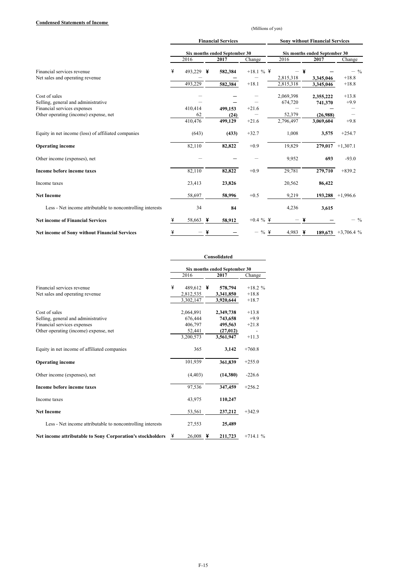#### **Condensed Statements of Income**

(Millions of yen)

|                                                                      | <b>Financial Services</b> |               |   |                               |             | <b>Sony without Financial Services</b> |   |                               |                       |  |  |
|----------------------------------------------------------------------|---------------------------|---------------|---|-------------------------------|-------------|----------------------------------------|---|-------------------------------|-----------------------|--|--|
|                                                                      |                           |               |   | Six months ended September 30 |             |                                        |   | Six months ended September 30 |                       |  |  |
|                                                                      |                           | 2016          |   | 2017                          | Change      | 2016                                   |   | 2017                          | Change                |  |  |
| Financial services revenue                                           | ¥                         | 493,229       | ¥ | 582,384                       | $+18.1 \%$  |                                        | ¥ |                               | $-$ %<br>$+18.8$      |  |  |
| Net sales and operating revenue                                      |                           | 493,229       |   | 582,384                       | $+18.1$     | 2,815,318<br>2,815,318                 |   | 3,345,046<br>3,345,046        | $+18.8$               |  |  |
| Cost of sales                                                        |                           |               |   |                               |             | 2,069,398                              |   | 2,355,222                     | $+13.8$               |  |  |
| Selling, general and administrative                                  |                           |               |   |                               |             | 674,720                                |   | 741,370                       | $+9.9$                |  |  |
| Financial services expenses<br>Other operating (income) expense, net |                           | 410,414<br>62 |   | 499,153<br>(24)               | $+21.6$     | 52,379                                 |   | (26,988)                      |                       |  |  |
|                                                                      |                           | 410,476       |   | 499,129                       | $+21.6$     | 2,796,497                              |   | 3,069,604                     | $+9.8$                |  |  |
| Equity in net income (loss) of affiliated companies                  |                           | (643)         |   | (433)                         | $+32.7$     | 1,008                                  |   | 3,575                         | $+254.7$              |  |  |
| <b>Operating income</b>                                              |                           | 82,110        |   | 82,822                        | $+0.9$      | 19,829                                 |   |                               | $279,017$ +1,307.1    |  |  |
| Other income (expenses), net                                         |                           |               |   |                               |             | 9,952                                  |   | 693                           | $-93.0$               |  |  |
| Income before income taxes                                           |                           | 82,110        |   | 82,822                        | $+0.9$      | 29,781                                 |   | 279,710                       | $+839.2$              |  |  |
| Income taxes                                                         |                           | 23,413        |   | 23,826                        |             | 20,562                                 |   | 86,422                        |                       |  |  |
| <b>Net Income</b>                                                    |                           | 58,697        |   | 58,996                        | $+0.5$      | 9,219                                  |   |                               | $193,288$ +1,996.6    |  |  |
| Less - Net income attributable to noncontrolling interests           |                           | 34            |   | 84                            |             | 4,236                                  |   | 3,615                         |                       |  |  |
| <b>Net income of Financial Services</b>                              | ¥                         | 58,663        | ¥ | 58,912                        | $+0.4 \%$ ¥ |                                        |   |                               | $-$ %                 |  |  |
| <b>Net income of Sony without Financial Services</b>                 | ¥                         |               | ¥ |                               | $-$ % \     | 4,983                                  | ¥ |                               | $189,673 +3,706.4 \%$ |  |  |

|                                                            | Consolidated |                               |   |           |            |  |  |  |
|------------------------------------------------------------|--------------|-------------------------------|---|-----------|------------|--|--|--|
|                                                            |              | Six months ended September 30 |   |           |            |  |  |  |
|                                                            |              | 2016                          |   | 2017      | Change     |  |  |  |
| Financial services revenue                                 | ¥            | 489,612 ¥                     |   | 578,794   | $+18.2 \%$ |  |  |  |
| Net sales and operating revenue                            |              | 2,812,535                     |   | 3,341,850 | $+18.8$    |  |  |  |
|                                                            |              | 3,302,147                     |   | 3,920,644 | $+18.7$    |  |  |  |
| Cost of sales                                              |              | 2,064,891                     |   | 2,349,738 | $+13.8$    |  |  |  |
|                                                            |              |                               |   |           | $+9.9$     |  |  |  |
| Selling, general and administrative                        |              | 676,444                       |   | 743,658   |            |  |  |  |
| Financial services expenses                                |              | 406,797                       |   | 495,563   | $+21.8$    |  |  |  |
| Other operating (income) expense, net                      |              | 52,441                        |   | (27, 012) |            |  |  |  |
|                                                            |              | 3,200,573                     |   | 3,561,947 | $+11.3$    |  |  |  |
| Equity in net income of affiliated companies               |              | 365                           |   | 3,142     | $+760.8$   |  |  |  |
| <b>Operating income</b>                                    |              | 101,939                       |   | 361,839   | $+255.0$   |  |  |  |
| Other income (expenses), net                               |              | (4, 403)                      |   | (14,380)  | $-226.6$   |  |  |  |
| Income before income taxes                                 |              | 97,536                        |   | 347,459   | $+256.2$   |  |  |  |
| Income taxes                                               |              | 43,975                        |   | 110,247   |            |  |  |  |
| <b>Net Income</b>                                          |              | 53,561                        |   | 237,212   | $+342.9$   |  |  |  |
| Less - Net income attributable to noncontrolling interests |              | 27,553                        |   | 25,489    |            |  |  |  |
| Net income attributable to Sony Corporation's stockholders | ¥            | 26,008                        | ¥ | 211,723   | $+714.1%$  |  |  |  |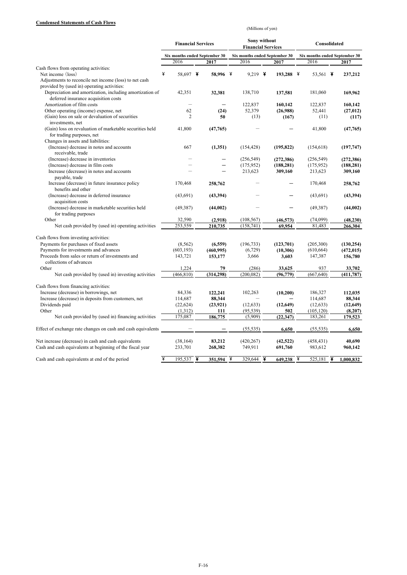#### **Condensed Statements of Cash Flows**

(Millions of yen)

|                                                              | <b>Financial Services</b>     |  |            | Sony without<br><b>Financial Services</b> |                                       |  |            | Consolidated                  |               |   |            |
|--------------------------------------------------------------|-------------------------------|--|------------|-------------------------------------------|---------------------------------------|--|------------|-------------------------------|---------------|---|------------|
|                                                              | Six months ended September 30 |  |            |                                           | Six months ended September 30<br>2016 |  |            | Six months ended September 30 |               |   |            |
| Cash flows from operating activities:                        | 2016                          |  | 2017       |                                           |                                       |  | 2017       |                               | 2016          |   | 2017       |
| Net income (loss)                                            | ¥<br>58,697 ¥                 |  | 58.996 ¥   |                                           | 9.219 ¥                               |  | 193,288 ¥  |                               | 53,561 $\ast$ |   | 237,212    |
| Adjustments to reconcile net income (loss) to net cash       |                               |  |            |                                           |                                       |  |            |                               |               |   |            |
| provided by (used in) operating activities:                  |                               |  |            |                                           |                                       |  |            |                               |               |   |            |
| Depreciation and amortization, including amortization of     | 42,351                        |  | 32,381     |                                           | 138,710                               |  | 137,581    |                               | 181,060       |   | 169,962    |
| deferred insurance acquisition costs                         |                               |  |            |                                           |                                       |  |            |                               |               |   |            |
| Amortization of film costs                                   | $\overline{\phantom{0}}$      |  |            |                                           | 122,837                               |  | 160.142    |                               | 122,837       |   | 160.142    |
| Other operating (income) expense, net                        | 62                            |  | (24)       |                                           | 52,379                                |  | (26,988)   |                               | 52,441        |   | (27, 012)  |
| (Gain) loss on sale or devaluation of securities             | $\overline{2}$                |  | 50         |                                           | (13)                                  |  | (167)      |                               | (11)          |   | (117)      |
| investments, net                                             |                               |  |            |                                           |                                       |  |            |                               |               |   |            |
| (Gain) loss on revaluation of marketable securities held     | 41,800                        |  | (47,765)   |                                           |                                       |  |            |                               | 41,800        |   | (47,765)   |
| for trading purposes, net                                    |                               |  |            |                                           |                                       |  |            |                               |               |   |            |
| Changes in assets and liabilities:                           |                               |  |            |                                           |                                       |  |            |                               |               |   |            |
| (Increase) decrease in notes and accounts                    | 667                           |  | (1,351)    |                                           | (154, 428)                            |  | (195, 822) |                               | (154, 618)    |   | (197, 747) |
| receivable, trade                                            |                               |  |            |                                           |                                       |  |            |                               |               |   |            |
| (Increase) decrease in inventories                           |                               |  |            |                                           | (256, 549)                            |  | (272, 386) |                               | (256, 549)    |   | (272, 386) |
| (Increase) decrease in film costs                            |                               |  |            |                                           | (175, 952)                            |  | (188, 281) |                               | (175, 952)    |   | (188, 281) |
| Increase (decrease) in notes and accounts                    |                               |  |            |                                           | 213,623                               |  | 309,160    |                               | 213,623       |   | 309,160    |
| payable, trade                                               |                               |  |            |                                           |                                       |  |            |                               |               |   |            |
| Increase (decrease) in future insurance policy               | 170,468                       |  | 258,762    |                                           |                                       |  |            |                               | 170,468       |   | 258,762    |
| benefits and other                                           |                               |  |            |                                           |                                       |  |            |                               |               |   |            |
| (Increase) decrease in deferred insurance                    | (43,691)                      |  | (43, 394)  |                                           |                                       |  |            |                               | (43,691)      |   | (43, 394)  |
| acquisition costs                                            |                               |  |            |                                           |                                       |  |            |                               |               |   |            |
| (Increase) decrease in marketable securities held            | (49, 387)                     |  | (44,002)   |                                           |                                       |  |            |                               | (49, 387)     |   | (44,002)   |
| for trading purposes                                         |                               |  |            |                                           |                                       |  |            |                               |               |   |            |
| Other                                                        | 32,590                        |  | (2,918)    |                                           | (108, 567)                            |  | (46, 573)  |                               | (74,099)      |   | (48, 230)  |
| Net cash provided by (used in) operating activities          | 253,559                       |  | 210,735    |                                           | (158, 741)                            |  | 69,954     |                               | 81,483        |   | 266,304    |
| Cash flows from investing activities:                        |                               |  |            |                                           |                                       |  |            |                               |               |   |            |
| Payments for purchases of fixed assets                       | (8, 562)                      |  | (6, 559)   |                                           | (196, 733)                            |  | (123,701)  |                               | (205, 300)    |   | (130, 254) |
| Payments for investments and advances                        | (603, 193)                    |  | (460, 995) |                                           | (6, 729)                              |  | (10, 306)  |                               | (610, 664)    |   | (472, 015) |
| Proceeds from sales or return of investments and             | 143,721                       |  | 153,177    |                                           | 3,666                                 |  | 3,603      |                               | 147,387       |   | 156,780    |
| collections of advances                                      |                               |  |            |                                           |                                       |  |            |                               |               |   |            |
| Other                                                        | 1,224                         |  | 79         |                                           | (286)                                 |  | 33,625     |                               | 937           |   | 33,702     |
| Net cash provided by (used in) investing activities          | (466, 810)                    |  | (314, 298) |                                           | (200, 082)                            |  | (96, 779)  |                               | (667, 640)    |   | (411, 787) |
|                                                              |                               |  |            |                                           |                                       |  |            |                               |               |   |            |
| Cash flows from financing activities:                        |                               |  |            |                                           |                                       |  |            |                               |               |   |            |
| Increase (decrease) in borrowings, net                       | 84,336                        |  | 122,241    |                                           | 102,263                               |  | (10,200)   |                               | 186,327       |   | 112,035    |
| Increase (decrease) in deposits from customers, net          | 114,687                       |  | 88,344     |                                           |                                       |  |            |                               | 114,687       |   | 88,344     |
| Dividends paid                                               | (22, 624)                     |  | (23, 921)  |                                           | (12, 633)                             |  | (12, 649)  |                               | (12, 633)     |   | (12, 649)  |
| Other                                                        | (1,312)                       |  | 111        |                                           | (95, 539)                             |  | 502        |                               | (105, 120)    |   | (8,207)    |
| Net cash provided by (used in) financing activities          | 175,087                       |  | 186,775    |                                           | (5,909)                               |  | (22, 347)  |                               | 183,261       |   | 179,523    |
| Effect of exchange rate changes on cash and cash equivalents |                               |  |            |                                           | (55, 535)                             |  | 6,650      |                               | (55, 535)     |   | 6,650      |
|                                                              |                               |  |            |                                           |                                       |  |            |                               |               |   |            |
| Net increase (decrease) in cash and cash equivalents         | (38, 164)                     |  | 83,212     |                                           | (420, 267)                            |  | (42, 522)  |                               | (458, 431)    |   | 40,690     |
| Cash and cash equivalents at beginning of the fiscal year    | 233,701                       |  | 268,382    |                                           | 749,911                               |  | 691,760    |                               | 983,612       |   | 960,142    |
|                                                              |                               |  |            |                                           |                                       |  |            |                               |               |   |            |
| Cash and cash equivalents at end of the period               | ¥<br>$195,537$ ¥              |  | 351,594    | $\overline{\mathbf{y}}$                   | 329.644 ¥                             |  | 649,238    | ¥                             | 525,181       | ¥ | 1,000,832  |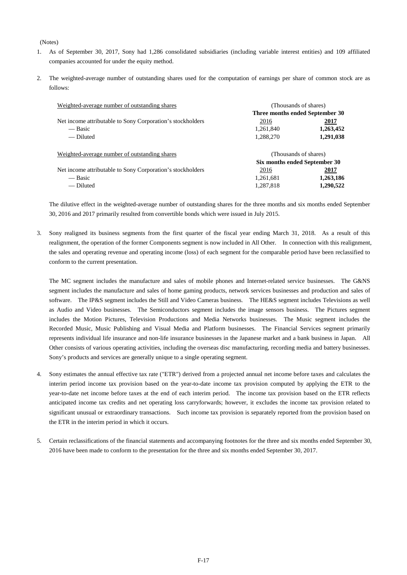#### (Notes)

- 1. As of September 30, 2017, Sony had 1,286 consolidated subsidiaries (including variable interest entities) and 109 affiliated companies accounted for under the equity method.
- 2. The weighted-average number of outstanding shares used for the computation of earnings per share of common stock are as follows:

| Weighted-average number of outstanding shares              |                                 | (Thousands of shares) |  |  |  |
|------------------------------------------------------------|---------------------------------|-----------------------|--|--|--|
|                                                            | Three months ended September 30 |                       |  |  |  |
| Net income attributable to Sony Corporation's stockholders | 2016                            | 2017                  |  |  |  |
| — Basic                                                    | 1,261,840                       | 1,263,452             |  |  |  |
| — Diluted                                                  | 1,288,270                       | 1,291,038             |  |  |  |
| Weighted-average number of outstanding shares              | (Thousands of shares)           |                       |  |  |  |
|                                                            | Six months ended September 30   |                       |  |  |  |
| Net income attributable to Sony Corporation's stockholders | 2016                            | 2017                  |  |  |  |
| — Basic                                                    | 1,261,681                       | 1,263,186             |  |  |  |
| — Diluted                                                  | 1.287.818                       | 1,290,522             |  |  |  |

The dilutive effect in the weighted-average number of outstanding shares for the three months and six months ended September 30, 2016 and 2017 primarily resulted from convertible bonds which were issued in July 2015.

3. Sony realigned its business segments from the first quarter of the fiscal year ending March 31, 2018. As a result of this realignment, the operation of the former Components segment is now included in All Other. In connection with this realignment, the sales and operating revenue and operating income (loss) of each segment for the comparable period have been reclassified to conform to the current presentation.

The MC segment includes the manufacture and sales of mobile phones and Internet-related service businesses. The G&NS segment includes the manufacture and sales of home gaming products, network services businesses and production and sales of software. The IP&S segment includes the Still and Video Cameras business. The HE&S segment includes Televisions as well as Audio and Video businesses. The Semiconductors segment includes the image sensors business. The Pictures segment includes the Motion Pictures, Television Productions and Media Networks businesses. The Music segment includes the Recorded Music, Music Publishing and Visual Media and Platform businesses. The Financial Services segment primarily represents individual life insurance and non-life insurance businesses in the Japanese market and a bank business in Japan. All Other consists of various operating activities, including the overseas disc manufacturing, recording media and battery businesses. Sony's products and services are generally unique to a single operating segment.

- 4. Sony estimates the annual effective tax rate ("ETR") derived from a projected annual net income before taxes and calculates the interim period income tax provision based on the year-to-date income tax provision computed by applying the ETR to the year-to-date net income before taxes at the end of each interim period. The income tax provision based on the ETR reflects anticipated income tax credits and net operating loss carryforwards; however, it excludes the income tax provision related to significant unusual or extraordinary transactions. Such income tax provision is separately reported from the provision based on the ETR in the interim period in which it occurs.
- 5. Certain reclassifications of the financial statements and accompanying footnotes for the three and six months ended September 30, 2016 have been made to conform to the presentation for the three and six months ended September 30, 2017.